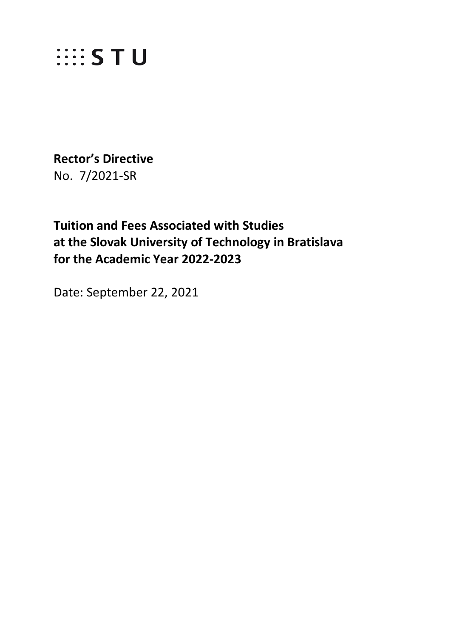

**Rector's Directive**  No. 7/2021-SR

**Tuition and Fees Associated with Studies at the Slovak University of Technology in Bratislava for the Academic Year 2022-2023**

Date: September 22, 2021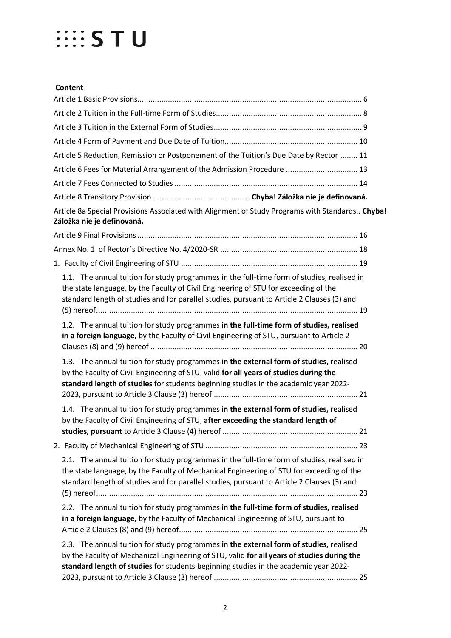#### **Content**

| Article 5 Reduction, Remission or Postponement of the Tuition's Due Date by Rector  11                                                                                                                                                                                               |  |
|--------------------------------------------------------------------------------------------------------------------------------------------------------------------------------------------------------------------------------------------------------------------------------------|--|
| Article 6 Fees for Material Arrangement of the Admission Procedure  13                                                                                                                                                                                                               |  |
|                                                                                                                                                                                                                                                                                      |  |
|                                                                                                                                                                                                                                                                                      |  |
| Article 8a Special Provisions Associated with Alignment of Study Programs with Standards Chyba!<br>Záložka nie je definovaná.                                                                                                                                                        |  |
|                                                                                                                                                                                                                                                                                      |  |
|                                                                                                                                                                                                                                                                                      |  |
|                                                                                                                                                                                                                                                                                      |  |
| 1.1. The annual tuition for study programmes in the full-time form of studies, realised in<br>the state language, by the Faculty of Civil Engineering of STU for exceeding of the<br>standard length of studies and for parallel studies, pursuant to Article 2 Clauses (3) and      |  |
| 1.2. The annual tuition for study programmes in the full-time form of studies, realised<br>in a foreign language, by the Faculty of Civil Engineering of STU, pursuant to Article 2                                                                                                  |  |
| 1.3. The annual tuition for study programmes in the external form of studies, realised<br>by the Faculty of Civil Engineering of STU, valid for all years of studies during the<br>standard length of studies for students beginning studies in the academic year 2022-              |  |
| 1.4. The annual tuition for study programmes in the external form of studies, realised<br>by the Faculty of Civil Engineering of STU, after exceeding the standard length of<br>21                                                                                                   |  |
|                                                                                                                                                                                                                                                                                      |  |
| 2.1. The annual tuition for study programmes in the full-time form of studies, realised in<br>the state language, by the Faculty of Mechanical Engineering of STU for exceeding of the<br>standard length of studies and for parallel studies, pursuant to Article 2 Clauses (3) and |  |
| 2.2. The annual tuition for study programmes in the full-time form of studies, realised<br>in a foreign language, by the Faculty of Mechanical Engineering of STU, pursuant to                                                                                                       |  |
| 2.3. The annual tuition for study programmes in the external form of studies, realised<br>by the Faculty of Mechanical Engineering of STU, valid for all years of studies during the<br>standard length of studies for students beginning studies in the academic year 2022-         |  |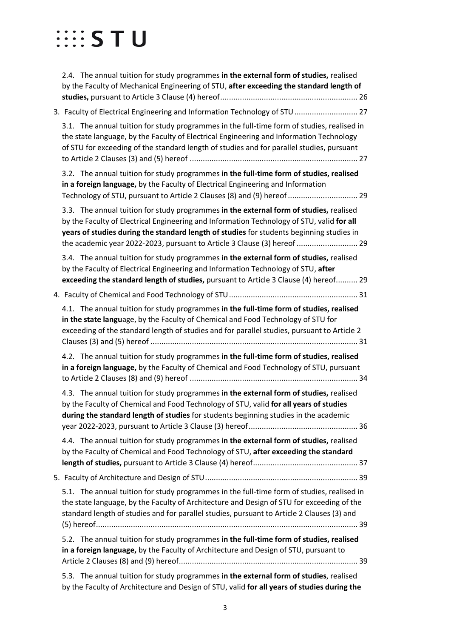| 2.4. The annual tuition for study programmes in the external form of studies, realised<br>by the Faculty of Mechanical Engineering of STU, after exceeding the standard length of                                                                                                                                                                           |
|-------------------------------------------------------------------------------------------------------------------------------------------------------------------------------------------------------------------------------------------------------------------------------------------------------------------------------------------------------------|
| 3. Faculty of Electrical Engineering and Information Technology of STU  27                                                                                                                                                                                                                                                                                  |
| 3.1. The annual tuition for study programmes in the full-time form of studies, realised in<br>the state language, by the Faculty of Electrical Engineering and Information Technology<br>of STU for exceeding of the standard length of studies and for parallel studies, pursuant                                                                          |
| 3.2. The annual tuition for study programmes in the full-time form of studies, realised<br>in a foreign language, by the Faculty of Electrical Engineering and Information<br>Technology of STU, pursuant to Article 2 Clauses (8) and (9) hereof  29                                                                                                       |
| 3.3. The annual tuition for study programmes in the external form of studies, realised<br>by the Faculty of Electrical Engineering and Information Technology of STU, valid for all<br>years of studies during the standard length of studies for students beginning studies in<br>the academic year 2022-2023, pursuant to Article 3 Clause (3) hereof  29 |
| 3.4. The annual tuition for study programmes in the external form of studies, realised<br>by the Faculty of Electrical Engineering and Information Technology of STU, after<br>exceeding the standard length of studies, pursuant to Article 3 Clause (4) hereof 29                                                                                         |
|                                                                                                                                                                                                                                                                                                                                                             |
| 4.1. The annual tuition for study programmes in the full-time form of studies, realised<br>in the state language, by the Faculty of Chemical and Food Technology of STU for<br>exceeding of the standard length of studies and for parallel studies, pursuant to Article 2                                                                                  |
| 4.2. The annual tuition for study programmes in the full-time form of studies, realised<br>in a foreign language, by the Faculty of Chemical and Food Technology of STU, pursuant                                                                                                                                                                           |
| 4.3. The annual tuition for study programmes in the external form of studies, realised<br>by the Faculty of Chemical and Food Technology of STU, valid for all years of studies<br>during the standard length of studies for students beginning studies in the academic                                                                                     |
| 4.4. The annual tuition for study programmes in the external form of studies, realised<br>by the Faculty of Chemical and Food Technology of STU, after exceeding the standard                                                                                                                                                                               |
|                                                                                                                                                                                                                                                                                                                                                             |
| 5.1. The annual tuition for study programmes in the full-time form of studies, realised in<br>the state language, by the Faculty of Architecture and Design of STU for exceeding of the<br>standard length of studies and for parallel studies, pursuant to Article 2 Clauses (3) and                                                                       |
| 5.2. The annual tuition for study programmes in the full-time form of studies, realised<br>in a foreign language, by the Faculty of Architecture and Design of STU, pursuant to                                                                                                                                                                             |
| 5.3. The annual tuition for study programmes in the external form of studies, realised                                                                                                                                                                                                                                                                      |

[by the Faculty of Architecture and Design of STU, valid](#page-38-3) **for all years of studies during the**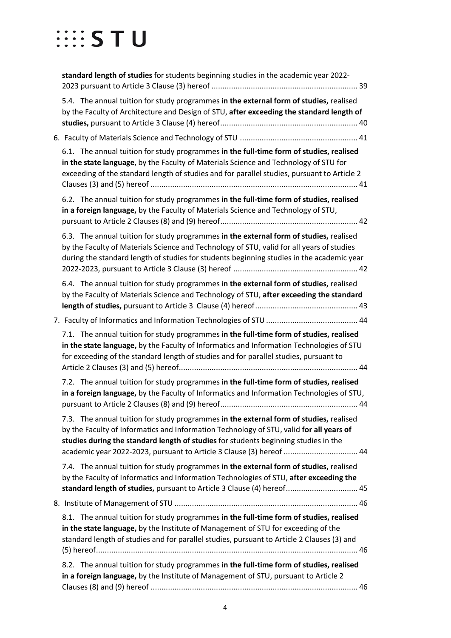| standard length of studies for students beginning studies in the academic year 2022-                                                                                                                                                                                                                                                             |
|--------------------------------------------------------------------------------------------------------------------------------------------------------------------------------------------------------------------------------------------------------------------------------------------------------------------------------------------------|
| 5.4. The annual tuition for study programmes in the external form of studies, realised<br>by the Faculty of Architecture and Design of STU, after exceeding the standard length of                                                                                                                                                               |
|                                                                                                                                                                                                                                                                                                                                                  |
| 6.1. The annual tuition for study programmes in the full-time form of studies, realised<br>in the state language, by the Faculty of Materials Science and Technology of STU for<br>exceeding of the standard length of studies and for parallel studies, pursuant to Article 2                                                                   |
| 6.2. The annual tuition for study programmes in the full-time form of studies, realised<br>in a foreign language, by the Faculty of Materials Science and Technology of STU,                                                                                                                                                                     |
| 6.3. The annual tuition for study programmes in the external form of studies, realised<br>by the Faculty of Materials Science and Technology of STU, valid for all years of studies<br>during the standard length of studies for students beginning studies in the academic year                                                                 |
| 6.4. The annual tuition for study programmes in the external form of studies, realised<br>by the Faculty of Materials Science and Technology of STU, after exceeding the standard                                                                                                                                                                |
|                                                                                                                                                                                                                                                                                                                                                  |
| 7.1. The annual tuition for study programmes in the full-time form of studies, realised<br>in the state language, by the Faculty of Informatics and Information Technologies of STU<br>for exceeding of the standard length of studies and for parallel studies, pursuant to                                                                     |
| 7.2. The annual tuition for study programmes in the full-time form of studies, realised<br>in a foreign language, by the Faculty of Informatics and Information Technologies of STU,                                                                                                                                                             |
| 7.3. The annual tuition for study programmes in the external form of studies, realised<br>by the Faculty of Informatics and Information Technology of STU, valid for all years of<br>studies during the standard length of studies for students beginning studies in the<br>academic year 2022-2023, pursuant to Article 3 Clause (3) hereof  44 |
| 7.4. The annual tuition for study programmes in the external form of studies, realised<br>by the Faculty of Informatics and Information Technologies of STU, after exceeding the<br>standard length of studies, pursuant to Article 3 Clause (4) hereof 45                                                                                       |
|                                                                                                                                                                                                                                                                                                                                                  |
| 8.1. The annual tuition for study programmes in the full-time form of studies, realised<br>in the state language, by the Institute of Management of STU for exceeding of the<br>standard length of studies and for parallel studies, pursuant to Article 2 Clauses (3) and                                                                       |
| 8.2. The annual tuition for study programmes in the full-time form of studies, realised<br>in a foreign language, by the Institute of Management of STU, pursuant to Article 2                                                                                                                                                                   |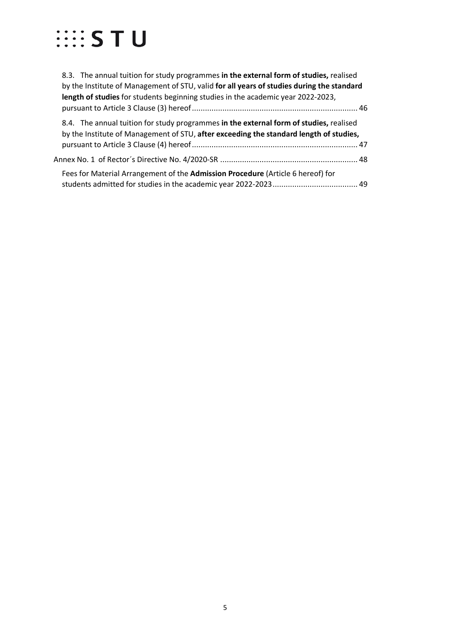| 8.3. The annual tuition for study programmes in the external form of studies, realised<br>by the Institute of Management of STU, valid for all years of studies during the standard |
|-------------------------------------------------------------------------------------------------------------------------------------------------------------------------------------|
| length of studies for students beginning studies in the academic year 2022-2023,                                                                                                    |
| 8.4. The annual tuition for study programmes in the external form of studies, realised<br>by the Institute of Management of STU, after exceeding the standard length of studies,    |
| 48. Annex No. 1 of Rector´s Directive No. 4/2020-SR …………………………………………………………………………                                                                                                    |
| Fees for Material Arrangement of the Admission Procedure (Article 6 hereof) for                                                                                                     |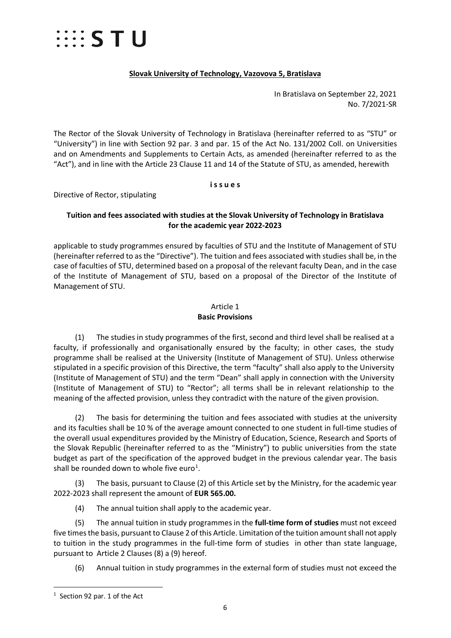

#### **Slovak University of Technology, Vazovova 5, Bratislava**

In Bratislava on September 22, 2021 No. 7/2021-SR

The Rector of the Slovak University of Technology in Bratislava (hereinafter referred to as "STU" or "University") in line with Section 92 par. 3 and par. 15 of the Act No. 131/2002 Coll. on Universities and on Amendments and Supplements to Certain Acts, as amended (hereinafter referred to as the "Act"), and in line with the Article 23 Clause 11 and 14 of the Statute of STU, as amended, herewith

#### **i s s u e s**

Directive of Rector, stipulating

#### **Tuition and fees associated with studies at the Slovak University of Technology in Bratislava for the academic year 2022-2023**

applicable to study programmes ensured by faculties of STU and the Institute of Management of STU (hereinafter referred to as the "Directive"). The tuition and fees associated with studies shall be, in the case of faculties of STU, determined based on a proposal of the relevant faculty Dean, and in the case of the Institute of Management of STU, based on a proposal of the Director of the Institute of Management of STU.

#### Article 1 **Basic Provisions**

<span id="page-5-0"></span>(1) The studies in study programmes of the first, second and third level shall be realised at a faculty, if professionally and organisationally ensured by the faculty; in other cases, the study programme shall be realised at the University (Institute of Management of STU). Unless otherwise stipulated in a specific provision of this Directive, the term "faculty" shall also apply to the University (Institute of Management of STU) and the term "Dean" shall apply in connection with the University (Institute of Management of STU) to "Rector"; all terms shall be in relevant relationship to the meaning of the affected provision, unless they contradict with the nature of the given provision.

(2) The basis for determining the tuition and fees associated with studies at the university and its faculties shall be 10 % of the average amount connected to one student in full-time studies of the overall usual expenditures provided by the Ministry of Education, Science, Research and Sports of the Slovak Republic (hereinafter referred to as the "Ministry") to public universities from the state budget as part of the specification of the approved budget in the previous calendar year. The basis shall be rounded down to whole five euro<sup>[1](#page-5-1)</sup>.

(3) The basis, pursuant to Clause (2) of this Article set by the Ministry, for the academic year 2022-2023 shall represent the amount of **EUR 565.00.**

(4) The annual tuition shall apply to the academic year.

(5) The annual tuition in study programmes in the **full-time form of studies** must not exceed five times the basis, pursuant to Clause 2 of this Article. Limitation of the tuition amount shall not apply to tuition in the study programmes in the full-time form of studies in other than state language, pursuant to Article 2 Clauses (8) a (9) hereof.

(6) Annual tuition in study programmes in the external form of studies must not exceed the

<span id="page-5-1"></span> $\frac{1}{1}$  $1$  Section 92 par. 1 of the Act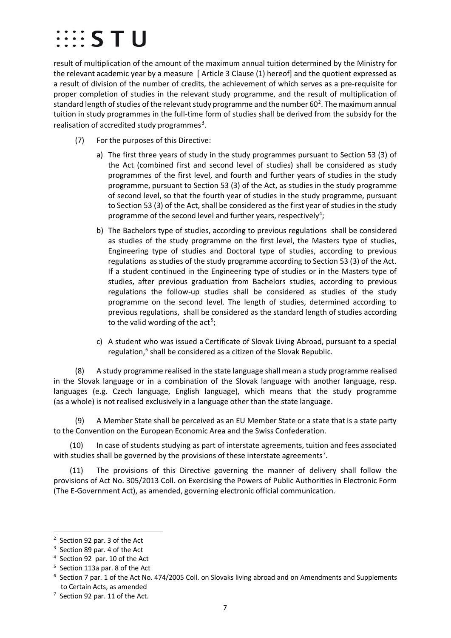### $\cdots$  s t u

result of multiplication of the amount of the maximum annual tuition determined by the Ministry for the relevant academic year by a measure [ Article 3 Clause (1) hereof] and the quotient expressed as a result of division of the number of credits, the achievement of which serves as a pre-requisite for proper completion of studies in the relevant study programme, and the result of multiplication of standard length of studies of the relevant study programme and the number 60<sup>[2](#page-6-0)</sup>. The maximum annual tuition in study programmes in the full-time form of studies shall be derived from the subsidy for the realisation of accredited study programmes<sup>[3](#page-6-1)</sup>.

- (7) For the purposes of this Directive:
	- a) The first three years of study in the study programmes pursuant to Section 53 (3) of the Act (combined first and second level of studies) shall be considered as study programmes of the first level, and fourth and further years of studies in the study programme, pursuant to Section 53 (3) of the Act, as studies in the study programme of second level, so that the fourth year of studies in the study programme, pursuant to Section 53 (3) of the Act, shall be considered as the first year of studies in the study programme of the second level and further years, respectively<sup>[4](#page-6-2)</sup>;
	- b) The Bachelors type of studies, according to previous regulations shall be considered as studies of the study programme on the first level, the Masters type of studies, Engineering type of studies and Doctoral type of studies, according to previous regulations as studies of the study programme according to Section 53 (3) of the Act. If a student continued in the Engineering type of studies or in the Masters type of studies, after previous graduation from Bachelors studies, according to previous regulations the follow-up studies shall be considered as studies of the study programme on the second level. The length of studies, determined according to previous regulations, shall be considered as the standard length of studies according to the valid wording of the act<sup>[5](#page-6-3)</sup>;
	- c) A student who was issued a Certificate of Slovak Living Abroad, pursuant to a special regulation,<sup>[6](#page-6-4)</sup> shall be considered as a citizen of the Slovak Republic.

(8) A study programme realised in the state language shall mean a study programme realised in the Slovak language or in a combination of the Slovak language with another language, resp. languages (e.g. Czech language, English language), which means that the study programme (as a whole) is not realised exclusively in a language other than the state language.

A Member State shall be perceived as an EU Member State or a state that is a state party to the Convention on the European Economic Area and the Swiss Confederation.

(10) In case of students studying as part of interstate agreements, tuition and fees associated with studies shall be governed by the provisions of these interstate agreements<sup>[7](#page-6-5)</sup>.

(11) The provisions of this Directive governing the manner of delivery shall follow the provisions of Act No. 305/2013 Coll. on Exercising the Powers of Public Authorities in Electronic Form (The E-Government Act), as amended, governing electronic official communication.

<span id="page-6-0"></span> $\overline{2}$  $2$  Section 92 par. 3 of the Act

<span id="page-6-1"></span><sup>&</sup>lt;sup>3</sup> Section 89 par. 4 of the Act

<span id="page-6-2"></span><sup>4</sup> Section 92 par. 10 of the Act

<span id="page-6-3"></span><sup>5</sup> Section 113a par. 8 of the Act

<span id="page-6-4"></span><sup>&</sup>lt;sup>6</sup> Section 7 par. 1 of the Act No. 474/2005 Coll. on Slovaks living abroad and on Amendments and Supplements to Certain Acts, as amended

<span id="page-6-5"></span> $7$  Section 92 par. 11 of the Act.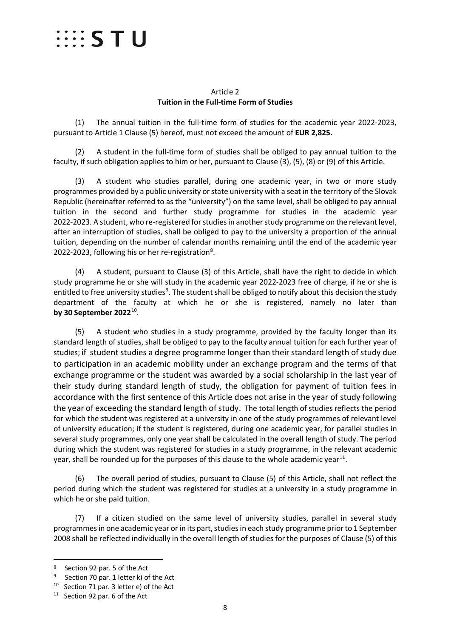

#### Article 2 **Tuition in the Full-time Form of Studies**

<span id="page-7-0"></span>(1) The annual tuition in the full-time form of studies for the academic year 2022-2023, pursuant to Article 1 Clause (5) hereof, must not exceed the amount of **EUR 2,825.**

(2) A student in the full-time form of studies shall be obliged to pay annual tuition to the faculty, if such obligation applies to him or her, pursuant to Clause (3), (5), (8) or (9) of this Article.

(3) A student who studies parallel, during one academic year, in two or more study programmes provided by a public university or state university with a seat in the territory of the Slovak Republic (hereinafter referred to as the "university") on the same level, shall be obliged to pay annual tuition in the second and further study programme for studies in the academic year 2022-2023. A student, who re-registered for studies in another study programme on the relevant level, after an interruption of studies, shall be obliged to pay to the university a proportion of the annual tuition, depending on the number of calendar months remaining until the end of the academic year 2022-2023, following his or her re-registration<sup>[8](#page-7-1)</sup>.

(4) A student, pursuant to Clause (3) of this Article, shall have the right to decide in which study programme he or she will study in the academic year 2022-2023 free of charge, if he or she is entitled to free university studies<sup>[9](#page-7-2)</sup>. The student shall be obliged to notify about this decision the study department of the faculty at which he or she is registered, namely no later than **by 30 September 2022**[10.](#page-7-3)

(5) A student who studies in a study programme, provided by the faculty longer than its standard length of studies, shall be obliged to pay to the faculty annual tuition for each further year of studies; if student studies a degree programme longer than their standard length of study due to participation in an academic mobility under an exchange program and the terms of that exchange programme or the student was awarded by a social scholarship in the last year of their study during standard length of study, the obligation for payment of tuition fees in accordance with the first sentence of this Article does not arise in the year of study following the year of exceeding the standard length of study. The total length of studies reflects the period for which the student was registered at a university in one of the study programmes of relevant level of university education; if the student is registered, during one academic year, for parallel studies in several study programmes, only one year shall be calculated in the overall length of study. The period during which the student was registered for studies in a study programme, in the relevant academic year, shall be rounded up for the purposes of this clause to the whole academic year<sup>11</sup>.

(6) The overall period of studies, pursuant to Clause (5) of this Article, shall not reflect the period during which the student was registered for studies at a university in a study programme in which he or she paid tuition.

(7) If a citizen studied on the same level of university studies, parallel in several study programmes in one academic year or in its part, studies in each study programme prior to 1 September 2008 shall be reflected individually in the overall length of studies for the purposes of Clause (5) of this

<span id="page-7-2"></span><span id="page-7-1"></span><sup>8</sup> Section 92 par. 5 of the Act<br>
9 Section 70 par. 1 letter k) of the Act

<span id="page-7-3"></span><sup>10</sup> Section 71 par. 3 letter e) of the Act

<span id="page-7-4"></span><sup>&</sup>lt;sup>11</sup> Section 92 par. 6 of the Act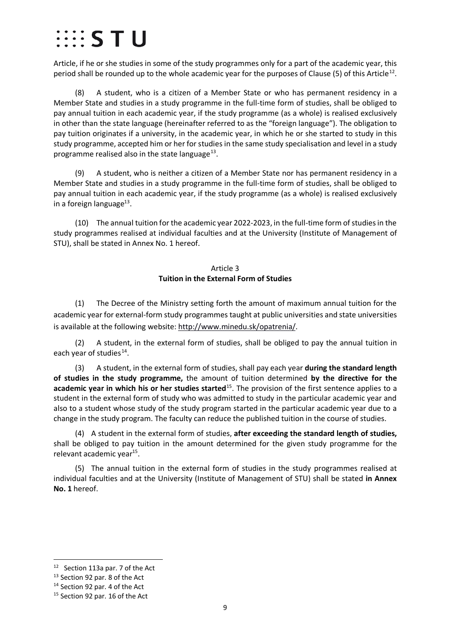### $\cdots$  s t u

Article, if he or she studies in some of the study programmes only for a part of the academic year, this period shall be rounded up to the whole academic year for the purposes of Clause (5) of this Article<sup>[12](#page-8-1)</sup>.

(8) A student, who is a citizen of a Member State or who has permanent residency in a Member State and studies in a study programme in the full-time form of studies, shall be obliged to pay annual tuition in each academic year, if the study programme (as a whole) is realised exclusively in other than the state language (hereinafter referred to as the "foreign language"). The obligation to pay tuition originates if a university, in the academic year, in which he or she started to study in this study programme, accepted him or her for studies in the same study specialisation and level in a study programme realised also in the state language $^{13}$  $^{13}$  $^{13}$ .

(9) A student, who is neither a citizen of a Member State nor has permanent residency in a Member State and studies in a study programme in the full-time form of studies, shall be obliged to pay annual tuition in each academic year, if the study programme (as a whole) is realised exclusively in a foreign language $^{13}$ .

(10) The annual tuition for the academic year 2022-2023, in the full-time form of studies in the study programmes realised at individual faculties and at the University (Institute of Management of STU), shall be stated in Annex No. 1 hereof.

#### Article 3 **Tuition in the External Form of Studies**

<span id="page-8-0"></span>(1) The Decree of the Ministry setting forth the amount of maximum annual tuition for the academic year for external-form study programmes taught at public universities and state universities is available at the following website: [http://www.minedu.sk/opatrenia/.](http://www.minedu.sk/opatrenia/)

(2) A student, in the external form of studies, shall be obliged to pay the annual tuition in each year of studies $^{14}$ .

(3) A student, in the external form of studies, shall pay each year **during the standard length of studies in the study programme,** the amount of tuition determined **by the directive for the academic year in which his or her studies started**[15](#page-8-4). The provision of the first sentence applies to a student in the external form of study who was admitted to study in the particular academic year and also to a student whose study of the study program started in the particular academic year due to a change in the study program. The faculty can reduce the published tuition in the course of studies.

(4) A student in the external form of studies, **after exceeding the standard length of studies,** shall be obliged to pay tuition in the amount determined for the given study programme for the relevant academic year<sup>15</sup>.

(5) The annual tuition in the external form of studies in the study programmes realised at individual faculties and at the University (Institute of Management of STU) shall be stated **in Annex No. 1** hereof.

<span id="page-8-1"></span>12 Section 113a par. 7 of the Act

<span id="page-8-2"></span><sup>13</sup> Section 92 par. 8 of the Act

<span id="page-8-3"></span><sup>&</sup>lt;sup>14</sup> Section 92 par. 4 of the Act

<span id="page-8-4"></span><sup>&</sup>lt;sup>15</sup> Section 92 par. 16 of the Act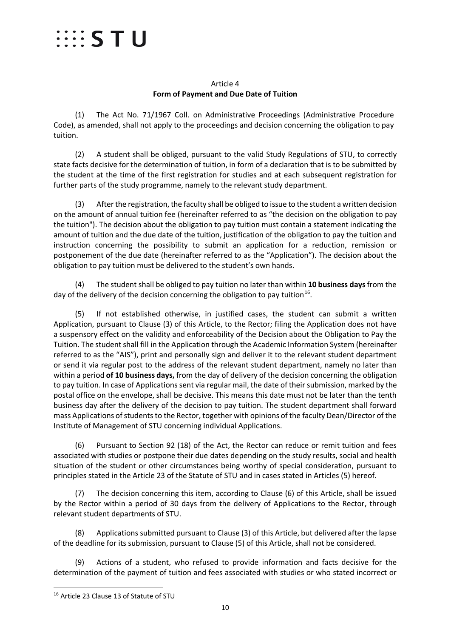### $\cdots$  STU

#### Article 4 **Form of Payment and Due Date of Tuition**

<span id="page-9-0"></span>(1) The Act No. 71/1967 Coll. on Administrative Proceedings (Administrative Procedure Code), as amended, shall not apply to the proceedings and decision concerning the obligation to pay tuition.

(2) A student shall be obliged, pursuant to the valid Study Regulations of STU, to correctly state facts decisive for the determination of tuition, in form of a declaration that is to be submitted by the student at the time of the first registration for studies and at each subsequent registration for further parts of the study programme, namely to the relevant study department.

(3) After the registration, the faculty shall be obliged to issue to the student a written decision on the amount of annual tuition fee (hereinafter referred to as "the decision on the obligation to pay the tuition"). The decision about the obligation to pay tuition must contain a statement indicating the amount of tuition and the due date of the tuition, justification of the obligation to pay the tuition and instruction concerning the possibility to submit an application for a reduction, remission or postponement of the due date (hereinafter referred to as the "Application"). The decision about the obligation to pay tuition must be delivered to the student's own hands.

(4) The student shall be obliged to pay tuition no later than within **10 business days** from the day of the delivery of the decision concerning the obligation to pay tuition<sup>[16](#page-9-1)</sup>.

(5) If not established otherwise, in justified cases, the student can submit a written Application, pursuant to Clause (3) of this Article, to the Rector; filing the Application does not have a suspensory effect on the validity and enforceability of the Decision about the Obligation to Pay the Tuition. The student shall fill in the Application through the Academic Information System (hereinafter referred to as the "AIS"), print and personally sign and deliver it to the relevant student department or send it via regular post to the address of the relevant student department, namely no later than within a period **of 10 business days,** from the day of delivery of the decision concerning the obligation to pay tuition. In case of Applications sent via regular mail, the date of their submission, marked by the postal office on the envelope, shall be decisive. This means this date must not be later than the tenth business day after the delivery of the decision to pay tuition. The student department shall forward mass Applications of students to the Rector, together with opinions of the faculty Dean/Director of the Institute of Management of STU concerning individual Applications.

(6) Pursuant to Section 92 (18) of the Act, the Rector can reduce or remit tuition and fees associated with studies or postpone their due dates depending on the study results, social and health situation of the student or other circumstances being worthy of special consideration, pursuant to principles stated in the Article 23 of the Statute of STU and in cases stated in Articles (5) hereof.

(7) The decision concerning this item, according to Clause (6) of this Article, shall be issued by the Rector within a period of 30 days from the delivery of Applications to the Rector, through relevant student departments of STU.

(8) Applications submitted pursuant to Clause (3) of this Article, but delivered after the lapse of the deadline for its submission, pursuant to Clause (5) of this Article, shall not be considered.

(9) Actions of a student, who refused to provide information and facts decisive for the determination of the payment of tuition and fees associated with studies or who stated incorrect or

<span id="page-9-1"></span><sup>&</sup>lt;sup>16</sup> Article 23 Clause 13 of Statute of STU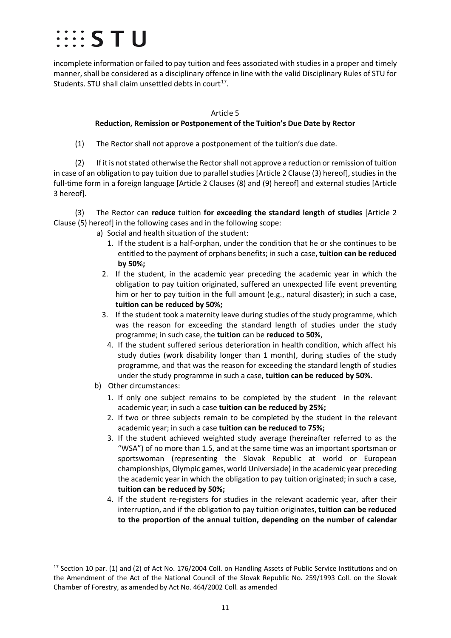### $\cdots$  S T U

incomplete information or failed to pay tuition and fees associated with studies in a proper and timely manner,shall be considered as a disciplinary offence in line with the valid Disciplinary Rules of STU for Students. STU shall claim unsettled debts in court<sup>[17](#page-10-1)</sup>.

#### Article 5

#### **Reduction, Remission or Postponement of the Tuition's Due Date by Rector**

<span id="page-10-0"></span>(1) The Rector shall not approve a postponement of the tuition's due date.

(2) If it is not stated otherwise the Rectorshall not approve a reduction or remission of tuition in case of an obligation to pay tuition due to parallel studies [Article 2 Clause (3) hereof], studies in the full-time form in a foreign language [Article 2 Clauses (8) and (9) hereof] and external studies [Article 3 hereof].

(3) The Rector can **reduce** tuition **for exceeding the standard length of studies** [Article 2 Clause (5) hereof] in the following cases and in the following scope:

- a) Social and health situation of the student:
	- 1. If the student is a half-orphan, under the condition that he or she continues to be entitled to the payment of orphans benefits; in such a case, **tuition can be reduced by 50%;**
	- 2. If the student, in the academic year preceding the academic year in which the obligation to pay tuition originated, suffered an unexpected life event preventing him or her to pay tuition in the full amount (e.g., natural disaster); in such a case, **tuition can be reduced by 50%;**
	- 3. If the student took a maternity leave during studies of the study programme, which was the reason for exceeding the standard length of studies under the study programme; in such case, the **tuition** can be **reduced to 50%**,
		- 4. If the student suffered serious deterioration in health condition, which affect his study duties (work disability longer than 1 month), during studies of the study programme, and that was the reason for exceeding the standard length of studies under the study programme in such a case, **tuition can be reduced by 50%.**
- b) Other circumstances:
	- 1. If only one subject remains to be completed by the student in the relevant academic year; in such a case **tuition can be reduced by 25%;**
	- 2. If two or three subjects remain to be completed by the student in the relevant academic year; in such a case **tuition can be reduced to 75%;**
	- 3. If the student achieved weighted study average (hereinafter referred to as the "WSA") of no more than 1.5, and at the same time was an important sportsman or sportswoman (representing the Slovak Republic at world or European championships, Olympic games, world Universiade) in the academic year preceding the academic year in which the obligation to pay tuition originated; in such a case, **tuition can be reduced by 50%;**
	- 4. If the student re-registers for studies in the relevant academic year, after their interruption, and if the obligation to pay tuition originates, **tuition can be reduced to the proportion of the annual tuition, depending on the number of calendar**

<span id="page-10-1"></span><sup>&</sup>lt;sup>17</sup> Section 10 par. (1) and (2) of Act No. 176/2004 Coll. on Handling Assets of Public Service Institutions and on the Amendment of the Act of the National Council of the Slovak Republic No. 259/1993 Coll. on the Slovak Chamber of Forestry, as amended by Act No. 464/2002 Coll. as amended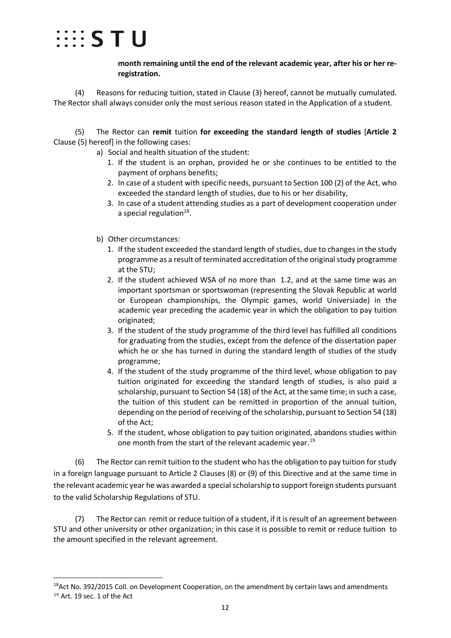

**month remaining until the end of the relevant academic year, after his or her reregistration.**

(4) Reasons for reducing tuition, stated in Clause (3) hereof, cannot be mutually cumulated. The Rector shall always consider only the most serious reason stated in the Application of a student.

(5) The Rector can **remit** tuition **for exceeding the standard length of studies** [**Article 2** Clause (5) hereof] in the following cases:

- a) Social and health situation of the student:
	- 1. If the student is an orphan, provided he or she continues to be entitled to the payment of orphans benefits;
	- 2. In case of a student with specific needs, pursuant to Section 100 (2) of the Act, who exceeded the standard length of studies, due to his or her disability,
	- 3. In case of a student attending studies as a part of development cooperation under a special regulation $18$ .
- b) Other circumstances:
	- 1. If the student exceeded the standard length of studies, due to changes in the study programme as a result of terminated accreditation of the original study programme at the STU;
	- 2. If the student achieved WSA of no more than 1.2, and at the same time was an important sportsman or sportswoman (representing the Slovak Republic at world or European championships, the Olympic games, world Universiade) in the academic year preceding the academic year in which the obligation to pay tuition originated;
	- 3. If the student of the study programme of the third level has fulfilled all conditions for graduating from the studies, except from the defence of the dissertation paper which he or she has turned in during the standard length of studies of the study programme;
	- 4. If the student of the study programme of the third level, whose obligation to pay tuition originated for exceeding the standard length of studies, is also paid a scholarship, pursuant to Section 54 (18) of the Act, at the same time; in such a case, the tuition of this student can be remitted in proportion of the annual tuition, depending on the period of receiving of the scholarship, pursuant to Section 54 (18) of the Act;
	- 5. If the student, whose obligation to pay tuition originated, abandons studies within one month from the start of the relevant academic year.<sup>[19](#page-11-1)</sup>

(6) The Rector can remit tuition to the student who has the obligation to pay tuition forstudy in a foreign language pursuant to Article 2 Clauses (8) or (9) of this Directive and at the same time in the relevant academic year he was awarded a special scholarship to support foreign students pursuant to the valid Scholarship Regulations of STU.

(7) The Rector can remit or reduce tuition of a student, if it is result of an agreement between STU and other university or other organization; in this case it is possible to remit or reduce tuition to the amount specified in the relevant agreement.

<span id="page-11-1"></span><span id="page-11-0"></span> $18$ Act No. 392/2015 Coll. on Development Cooperation, on the amendment by certain laws and amendments <sup>19</sup> Art. 19 sec. 1 of the Act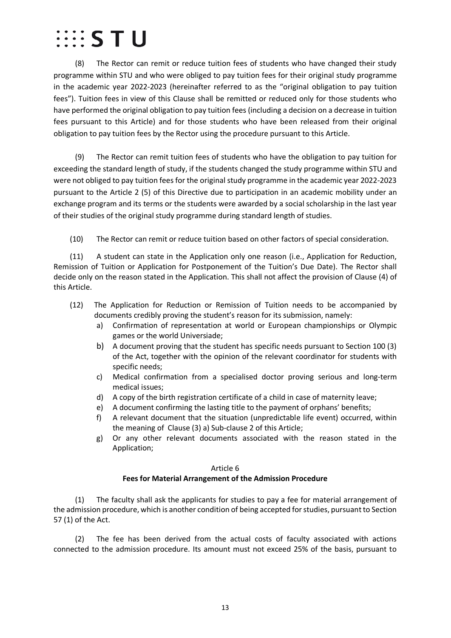### $\cdots$  STU

(8) The Rector can remit or reduce tuition fees of students who have changed their study programme within STU and who were obliged to pay tuition fees for their original study programme in the academic year 2022-2023 (hereinafter referred to as the "original obligation to pay tuition fees"). Tuition fees in view of this Clause shall be remitted or reduced only for those students who have performed the original obligation to pay tuition fees (including a decision on a decrease in tuition fees pursuant to this Article) and for those students who have been released from their original obligation to pay tuition fees by the Rector using the procedure pursuant to this Article.

(9) The Rector can remit tuition fees of students who have the obligation to pay tuition for exceeding the standard length of study, if the students changed the study programme within STU and were not obliged to pay tuition fees for the original study programme in the academic year 2022-2023 pursuant to the Article 2 (5) of this Directive due to participation in an academic mobility under an exchange program and its terms or the students were awarded by a social scholarship in the last year of their studies of the original study programme during standard length of studies.

(10) The Rector can remit or reduce tuition based on other factors of special consideration.

(11) A student can state in the Application only one reason (i.e., Application for Reduction, Remission of Tuition or Application for Postponement of the Tuition's Due Date). The Rector shall decide only on the reason stated in the Application. This shall not affect the provision of Clause (4) of this Article.

- (12) The Application for Reduction or Remission of Tuition needs to be accompanied by documents credibly proving the student's reason for its submission, namely:
	- a) Confirmation of representation at world or European championships or Olympic games or the world Universiade;
	- b) A document proving that the student has specific needs pursuant to Section 100 (3) of the Act, together with the opinion of the relevant coordinator for students with specific needs;
	- c) Medical confirmation from a specialised doctor proving serious and long-term medical issues;
	- d) A copy of the birth registration certificate of a child in case of maternity leave;
	- e) A document confirming the lasting title to the payment of orphans' benefits;
	- f) A relevant document that the situation (unpredictable life event) occurred, within the meaning of Clause (3) a) Sub-clause 2 of this Article;
	- g) Or any other relevant documents associated with the reason stated in the Application;

#### Article 6

#### **Fees for Material Arrangement of the Admission Procedure**

<span id="page-12-0"></span>(1) The faculty shall ask the applicants for studies to pay a fee for material arrangement of the admission procedure, which is another condition of being accepted for studies, pursuant to Section 57 (1) of the Act.

(2) The fee has been derived from the actual costs of faculty associated with actions connected to the admission procedure. Its amount must not exceed 25% of the basis, pursuant to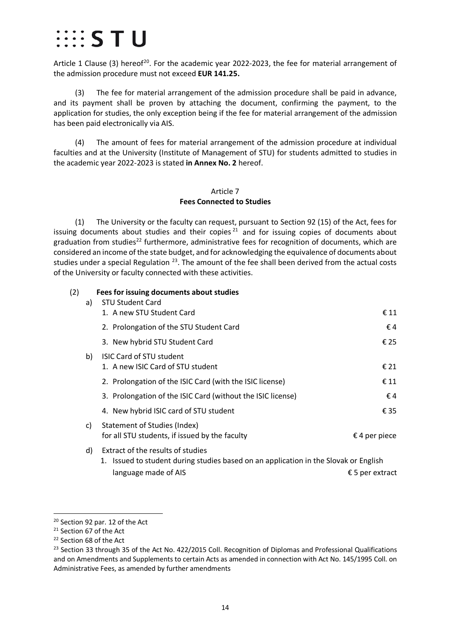### $\cdots$  S T U

Article 1 Clause (3) hereof<sup>[20](#page-13-1)</sup>. For the academic year 2022-2023, the fee for material arrangement of the admission procedure must not exceed **EUR 141.25.**

(3) The fee for material arrangement of the admission procedure shall be paid in advance, and its payment shall be proven by attaching the document, confirming the payment, to the application for studies, the only exception being if the fee for material arrangement of the admission has been paid electronically via AIS.

<span id="page-13-0"></span>(4) The amount of fees for material arrangement of the admission procedure at individual faculties and at the University (Institute of Management of STU) for students admitted to studies in the academic year 2022-2023 is stated **in Annex No. 2** hereof.

#### Article 7 **Fees Connected to Studies**

(1) The University or the faculty can request, pursuant to Section 92 (15) of the Act, fees for issuing documents about studies and their copies  $21$  and for issuing copies of documents about graduation from studies<sup>[22](#page-13-3)</sup> furthermore, administrative fees for recognition of documents, which are considered an income of the state budget, and for acknowledging the equivalence of documents about studies under a special Regulation  $23$ . The amount of the fee shall been derived from the actual costs of the University or faculty connected with these activities.

#### (2) **Fees for issuing documents about studies**

| a) | <b>STU Student Card</b>                                                                                                   |                          |
|----|---------------------------------------------------------------------------------------------------------------------------|--------------------------|
|    | 1. A new STU Student Card                                                                                                 | € 11                     |
|    | 2. Prolongation of the STU Student Card                                                                                   | €4                       |
|    | 3. New hybrid STU Student Card                                                                                            | € 25                     |
| b) | <b>ISIC Card of STU student</b><br>1. A new ISIC Card of STU student                                                      | € 21                     |
|    | 2. Prolongation of the ISIC Card (with the ISIC license)                                                                  | € 11                     |
|    | 3. Prolongation of the ISIC Card (without the ISIC license)                                                               | €4                       |
|    | 4. New hybrid ISIC card of STU student                                                                                    | € 35                     |
| C) | Statement of Studies (Index)<br>for all STU students, if issued by the faculty                                            | $\epsilon$ 4 per piece   |
| d) | Extract of the results of studies<br>1. Issued to student during studies based on an application in the Slovak or English |                          |
|    | language made of AIS                                                                                                      | $\epsilon$ 5 per extract |

<span id="page-13-1"></span><sup>20</sup> Section 92 par. 12 of the Act

<span id="page-13-2"></span><sup>21</sup> Section 67 of the Act

<span id="page-13-3"></span><sup>&</sup>lt;sup>22</sup> Section 68 of the Act

<span id="page-13-4"></span><sup>&</sup>lt;sup>23</sup> Section 33 through 35 of the Act No. 422/2015 Coll. Recognition of Diplomas and Professional Qualifications and on Amendments and Supplements to certain Acts as amended in connection with Act No. 145/1995 Coll. on Administrative Fees, as amended by further amendments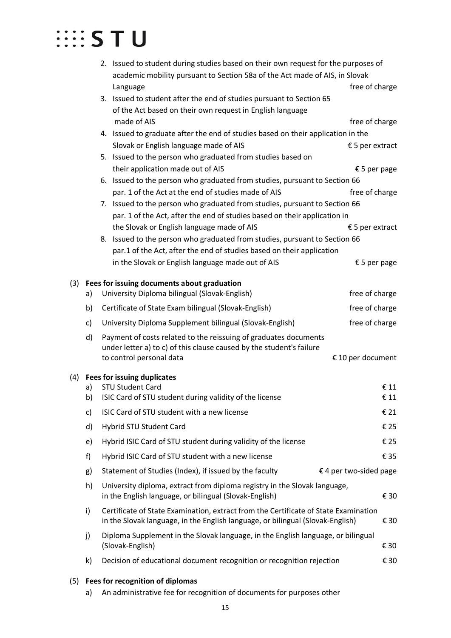|     |    |                                                                            | 2. Issued to student during studies based on their own request for the purposes of                                                                                    | academic mobility pursuant to Section 58a of the Act made of AIS, in Slovak |      |  |  |  |
|-----|----|----------------------------------------------------------------------------|-----------------------------------------------------------------------------------------------------------------------------------------------------------------------|-----------------------------------------------------------------------------|------|--|--|--|
|     |    |                                                                            |                                                                                                                                                                       | free of charge                                                              |      |  |  |  |
|     |    |                                                                            | Language<br>3. Issued to student after the end of studies pursuant to Section 65                                                                                      |                                                                             |      |  |  |  |
|     |    |                                                                            | of the Act based on their own request in English language                                                                                                             |                                                                             |      |  |  |  |
|     |    |                                                                            | made of AIS                                                                                                                                                           | free of charge                                                              |      |  |  |  |
|     |    |                                                                            | 4. Issued to graduate after the end of studies based on their application in the                                                                                      |                                                                             |      |  |  |  |
|     |    |                                                                            | Slovak or English language made of AIS                                                                                                                                | $£5$ per extract                                                            |      |  |  |  |
|     |    |                                                                            | 5. Issued to the person who graduated from studies based on                                                                                                           |                                                                             |      |  |  |  |
|     |    |                                                                            | their application made out of AIS                                                                                                                                     | € 5 per page                                                                |      |  |  |  |
|     |    |                                                                            | 6. Issued to the person who graduated from studies, pursuant to Section 66                                                                                            |                                                                             |      |  |  |  |
|     |    |                                                                            | par. 1 of the Act at the end of studies made of AIS                                                                                                                   | free of charge                                                              |      |  |  |  |
|     |    |                                                                            | 7. Issued to the person who graduated from studies, pursuant to Section 66                                                                                            |                                                                             |      |  |  |  |
|     |    |                                                                            | par. 1 of the Act, after the end of studies based on their application in                                                                                             |                                                                             |      |  |  |  |
|     |    |                                                                            | the Slovak or English language made of AIS                                                                                                                            | $£5$ per extract                                                            |      |  |  |  |
|     |    |                                                                            | 8. Issued to the person who graduated from studies, pursuant to Section 66                                                                                            |                                                                             |      |  |  |  |
|     |    |                                                                            | par.1 of the Act, after the end of studies based on their application                                                                                                 |                                                                             |      |  |  |  |
|     |    |                                                                            | in the Slovak or English language made out of AIS                                                                                                                     | € 5 per page                                                                |      |  |  |  |
|     |    |                                                                            |                                                                                                                                                                       |                                                                             |      |  |  |  |
| (3) | a) |                                                                            | Fees for issuing documents about graduation<br>University Diploma bilingual (Slovak-English)                                                                          | free of charge                                                              |      |  |  |  |
|     |    |                                                                            |                                                                                                                                                                       |                                                                             |      |  |  |  |
|     | b) |                                                                            | Certificate of State Exam bilingual (Slovak-English)                                                                                                                  | free of charge                                                              |      |  |  |  |
|     | c) | free of charge<br>University Diploma Supplement bilingual (Slovak-English) |                                                                                                                                                                       |                                                                             |      |  |  |  |
|     | d) |                                                                            | Payment of costs related to the reissuing of graduates documents                                                                                                      |                                                                             |      |  |  |  |
|     |    |                                                                            | under letter a) to c) of this clause caused by the student's failure                                                                                                  | € 10 per document                                                           |      |  |  |  |
|     |    |                                                                            | to control personal data                                                                                                                                              |                                                                             |      |  |  |  |
| (4) |    |                                                                            | <b>Fees for issuing duplicates</b>                                                                                                                                    |                                                                             |      |  |  |  |
|     | a) |                                                                            | <b>STU Student Card</b>                                                                                                                                               |                                                                             | € 11 |  |  |  |
|     | b) |                                                                            | ISIC Card of STU student during validity of the license                                                                                                               |                                                                             | € 11 |  |  |  |
|     | c) |                                                                            | ISIC Card of STU student with a new license                                                                                                                           |                                                                             | € 21 |  |  |  |
|     | d) |                                                                            | Hybrid STU Student Card                                                                                                                                               |                                                                             | € 25 |  |  |  |
|     | e) |                                                                            | Hybrid ISIC Card of STU student during validity of the license                                                                                                        |                                                                             | € 25 |  |  |  |
|     | f) |                                                                            | Hybrid ISIC Card of STU student with a new license                                                                                                                    |                                                                             | € 35 |  |  |  |
|     | g) |                                                                            | Statement of Studies (Index), if issued by the faculty                                                                                                                | $\epsilon$ 4 per two-sided page                                             |      |  |  |  |
|     | h) |                                                                            | University diploma, extract from diploma registry in the Slovak language,<br>in the English language, or bilingual (Slovak-English)                                   |                                                                             | € 30 |  |  |  |
|     | i) |                                                                            | Certificate of State Examination, extract from the Certificate of State Examination<br>in the Slovak language, in the English language, or bilingual (Slovak-English) |                                                                             | € 30 |  |  |  |
|     | j) |                                                                            | Diploma Supplement in the Slovak language, in the English language, or bilingual<br>(Slovak-English)                                                                  |                                                                             | € 30 |  |  |  |
|     | k) |                                                                            | Decision of educational document recognition or recognition rejection                                                                                                 |                                                                             | € 30 |  |  |  |
|     |    |                                                                            |                                                                                                                                                                       |                                                                             |      |  |  |  |
| (5) |    |                                                                            | Fees for recognition of diplomas                                                                                                                                      |                                                                             |      |  |  |  |
|     | a) |                                                                            | An administrative fee for recognition of documents for purposes other                                                                                                 |                                                                             |      |  |  |  |

15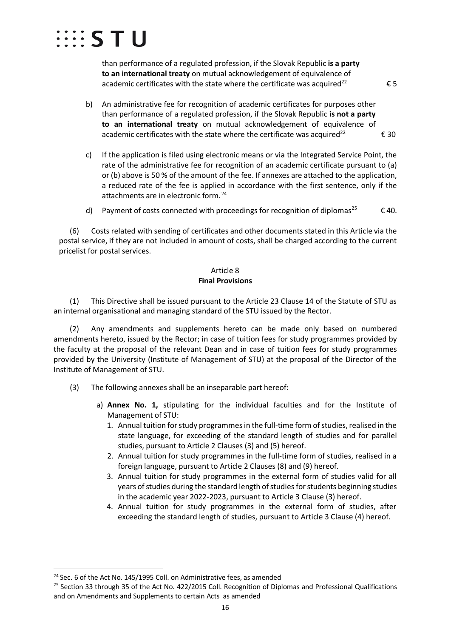

than performance of a regulated profession, if the Slovak Republic **is a party to an international treaty** on mutual acknowledgement of equivalence of academic certificates with the state where the certificate was acquired<sup>22</sup>  $\epsilon$  5

- b) An administrative fee for recognition of academic certificates for purposes other than performance of a regulated profession, if the Slovak Republic **is not a party to an international treaty** on mutual acknowledgement of equivalence of academic certificates with the state where the certificate was acquired<sup>22</sup>  $\epsilon$  30
- c) If the application is filed using electronic means or via the Integrated Service Point, the rate of the administrative fee for recognition of an academic certificate pursuant to (a) or (b) above is 50 % of the amount of the fee. If annexes are attached to the application, a reduced rate of the fee is applied in accordance with the first sentence, only if the attachments are in electronic form.<sup>[24](#page-15-1)</sup>
- d) Payment of costs connected with proceedings for recognition of diplomas<sup>25</sup>  $\epsilon$  40.

(6) Costs related with sending of certificates and other documents stated in this Article via the postal service, if they are not included in amount of costs, shall be charged according to the current pricelist for postal services.

#### Article 8 **Final Provisions**

<span id="page-15-0"></span>(1) This Directive shall be issued pursuant to the Article 23 Clause 14 of the Statute of STU as an internal organisational and managing standard of the STU issued by the Rector.

(2) Any amendments and supplements hereto can be made only based on numbered amendments hereto, issued by the Rector; in case of tuition fees for study programmes provided by the faculty at the proposal of the relevant Dean and in case of tuition fees for study programmes provided by the University (Institute of Management of STU) at the proposal of the Director of the Institute of Management of STU.

- (3) The following annexes shall be an inseparable part hereof:
	- a) **Annex No. 1,** stipulating for the individual faculties and for the Institute of Management of STU:
		- 1. Annual tuition for study programmes in the full-time form of studies, realised in the state language, for exceeding of the standard length of studies and for parallel studies, pursuant to Article 2 Clauses (3) and (5) hereof.
		- 2. Annual tuition for study programmes in the full-time form of studies, realised in a foreign language, pursuant to Article 2 Clauses (8) and (9) hereof.
		- 3. Annual tuition for study programmes in the external form of studies valid for all years of studies during the standard length of studies for students beginning studies in the academic year 2022-2023, pursuant to Article 3 Clause (3) hereof.
		- 4. Annual tuition for study programmes in the external form of studies, after exceeding the standard length of studies, pursuant to Article 3 Clause (4) hereof.

<span id="page-15-1"></span> $24$  Sec. 6 of the Act No. 145/1995 Coll. on Administrative fees, as amended

<span id="page-15-2"></span><sup>&</sup>lt;sup>25</sup> Section 33 through 35 of the Act No. 422/2015 Coll. Recognition of Diplomas and Professional Qualifications and on Amendments and Supplements to certain Acts as amended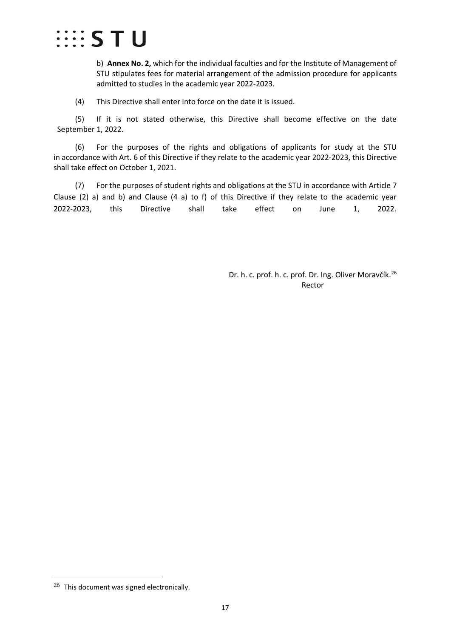

b) **Annex No. 2,** which for the individual faculties and for the Institute of Management of STU stipulates fees for material arrangement of the admission procedure for applicants admitted to studies in the academic year 2022-2023.

(4)This Directive shall enter into force on the date it is issued.

(5) If it is not stated otherwise, this Directive shall become effective on the date September 1, 2022.

(6) For the purposes of the rights and obligations of applicants for study at the STU in accordance with Art. 6 of this Directive if they relate to the academic year 2022-2023, this Directive shall take effect on October 1, 2021.

(7) For the purposes of student rights and obligations at the STU in accordance with Article 7 Clause (2) a) and b) and Clause (4 a) to f) of this Directive if they relate to the academic year 2022-2023, this Directive shall take effect on June 1, 2022.

> Dr. h. c. prof. h. c. prof. Dr. Ing. Oliver Moravčík.<sup>[26](#page-16-0)</sup> Rector

<span id="page-16-0"></span><sup>&</sup>lt;sup>26</sup> This document was signed electronically.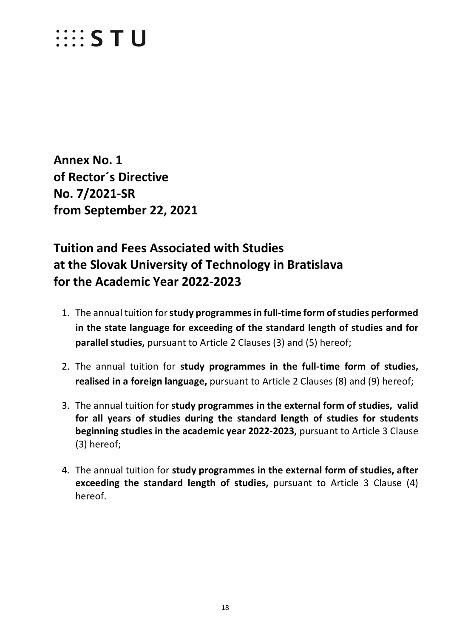### $\cdots$  STU

<span id="page-17-0"></span>**Annex No. 1 of Rector´s Directive No. 7/2021-SR from September 22, 2021**

### **Tuition and Fees Associated with Studies at the Slovak University of Technology in Bratislava for the Academic Year 2022-2023**

- 1. The annual tuition for **study programmes in full-time form of studies performed in the state language for exceeding of the standard length of studies and for parallel studies,** pursuant to Article 2 Clauses (3) and (5) hereof;
- 2. The annual tuition for **study programmes in the full-time form of studies, realised in a foreign language,** pursuant to Article 2 Clauses (8) and (9) hereof;
- 3. The annual tuition for **study programmes in the external form of studies, valid for all years of studies during the standard length of studies for students beginning studies in the academic year 2022-2023,** pursuant to Article 3 Clause (3) hereof;
- 4. The annual tuition for **study programmes in the external form of studies, after exceeding the standard length of studies,** pursuant to Article 3 Clause (4) hereof.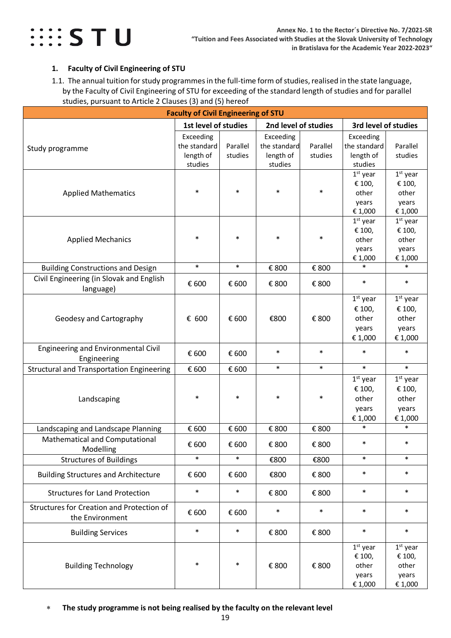

#### <span id="page-18-0"></span>**1. Faculty of Civil Engineering of STU**

<span id="page-18-1"></span>1.1. The annual tuition for study programmes in the full-time form of studies, realised in the state language, by the Faculty of Civil Engineering of STU for exceeding of the standard length of studies and for parallel studies, pursuant to Article 2 Clauses (3) and (5) hereof

| <b>Faculty of Civil Engineering of STU</b>                   |                                                   |                     |                                                   |                     |                                                   |                                                   |  |  |
|--------------------------------------------------------------|---------------------------------------------------|---------------------|---------------------------------------------------|---------------------|---------------------------------------------------|---------------------------------------------------|--|--|
|                                                              | 1st level of studies                              |                     | 2nd level of studies                              |                     | 3rd level of studies                              |                                                   |  |  |
| Study programme                                              | Exceeding<br>the standard<br>length of<br>studies | Parallel<br>studies | Exceeding<br>the standard<br>length of<br>studies | Parallel<br>studies | Exceeding<br>the standard<br>length of<br>studies | Parallel<br>studies                               |  |  |
| <b>Applied Mathematics</b>                                   | $\ast$                                            | $\ast$              | $\ast$                                            | $\ast$              | $1st$ year<br>€ 100,<br>other<br>years<br>€ 1,000 | $1st$ year<br>€ 100,<br>other<br>years<br>€ 1,000 |  |  |
| <b>Applied Mechanics</b>                                     | $\ast$                                            | $\ast$              | $\ast$                                            | *                   | $1st$ year<br>€ 100,<br>other<br>years<br>€ 1,000 | $1st$ year<br>€ 100,<br>other<br>years<br>€ 1,000 |  |  |
| <b>Building Constructions and Design</b>                     | $\ast$                                            | $\ast$              | € 800                                             | € 800               | $\ast$                                            | $\ast$                                            |  |  |
| Civil Engineering (in Slovak and English<br>language)        | € 600                                             | € 600               | € 800                                             | € 800               | $\ast$                                            | $\ast$                                            |  |  |
| Geodesy and Cartography                                      | € 600                                             | € 600               | €800                                              | € 800               | $1st$ year<br>€ 100,<br>other<br>years<br>€ 1,000 | $1st$ year<br>€ 100,<br>other<br>years<br>€ 1,000 |  |  |
| <b>Engineering and Environmental Civil</b><br>Engineering    | € 600                                             | € 600               | $\ast$                                            | $\ast$              | $\ast$                                            | $\ast$                                            |  |  |
| <b>Structural and Transportation Engineering</b>             | € 600                                             | € 600               | $\ast$                                            | $\ast$              | $\ast$                                            | $\ast$                                            |  |  |
| Landscaping                                                  | $\ast$                                            | $\ast$              | $\ast$                                            | $\ast$              | $1st$ year<br>€ 100,<br>other<br>years<br>€ 1,000 | $1st$ year<br>€ 100,<br>other<br>years<br>€ 1,000 |  |  |
| Landscaping and Landscape Planning                           | € 600                                             | € 600               | € 800                                             | € 800               | $\ast$                                            | $\ast$                                            |  |  |
| Mathematical and Computational<br>Modelling                  | € 600                                             | € 600               | € 800                                             | € 800               | $\ast$                                            | $\ast$                                            |  |  |
| <b>Structures of Buildings</b>                               | $\ast$                                            | $\ast$              | €800                                              | €800                | $\ast$                                            | $\ast$                                            |  |  |
| <b>Building Structures and Architecture</b>                  | € 600                                             | € 600               | €800                                              | € 800               | $\ast$                                            | $\ast$                                            |  |  |
| <b>Structures for Land Protection</b>                        | $\ast$                                            | $\ast$              | € 800                                             | € 800               | $\ast$                                            | $\ast$                                            |  |  |
| Structures for Creation and Protection of<br>the Environment | € 600                                             | € 600               | $\ast$                                            | $\ast$              | $\ast$                                            | $\ast$                                            |  |  |
| <b>Building Services</b>                                     | $\ast$                                            | $\ast$              | € 800                                             | € 800               | $\ast$                                            | $\ast$                                            |  |  |
| <b>Building Technology</b>                                   | $\ast$                                            | $\ast$              | € 800                                             | € 800               | $1st$ year<br>€ 100,<br>other<br>years<br>€ 1,000 | $1st$ year<br>€ 100,<br>other<br>years<br>€ 1,000 |  |  |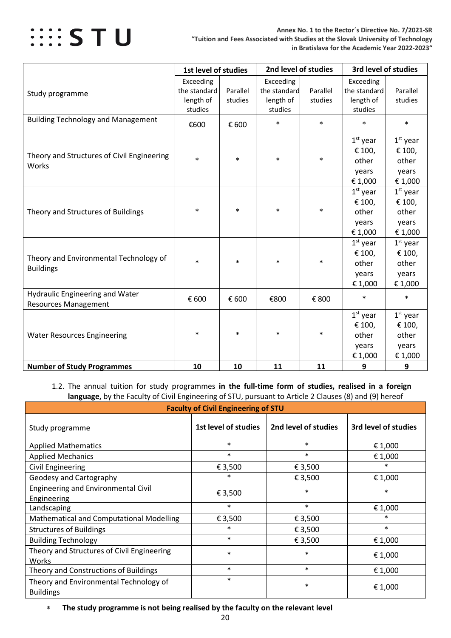

|                                                                       | 1st level of studies                              |                     | 2nd level of studies                              |                     | 3rd level of studies                              |                                                   |
|-----------------------------------------------------------------------|---------------------------------------------------|---------------------|---------------------------------------------------|---------------------|---------------------------------------------------|---------------------------------------------------|
| Study programme                                                       | Exceeding<br>the standard<br>length of<br>studies | Parallel<br>studies | Exceeding<br>the standard<br>length of<br>studies | Parallel<br>studies | Exceeding<br>the standard<br>length of<br>studies | Parallel<br>studies                               |
| <b>Building Technology and Management</b>                             | €600                                              | € 600               | $\ast$                                            | $\ast$              | $\ast$                                            | $\ast$                                            |
| Theory and Structures of Civil Engineering<br>Works                   | $\ast$                                            | $\ast$              | $\ast$                                            | $\ast$              | $1st$ year<br>€ 100,<br>other<br>years<br>€ 1,000 | $1st$ year<br>€ 100,<br>other<br>years<br>€ 1,000 |
| Theory and Structures of Buildings                                    | $\ast$                                            | $\ast$              | $\ast$                                            | $\ast$              | $1st$ year<br>€ 100,<br>other<br>years<br>€ 1,000 | $1st$ year<br>€ 100,<br>other<br>years<br>€ 1,000 |
| Theory and Environmental Technology of<br><b>Buildings</b>            | $\ast$                                            | $\ast$              | $\ast$                                            | $\ast$              | $1st$ year<br>€ 100,<br>other<br>years<br>€ 1,000 | $1st$ year<br>€ 100,<br>other<br>years<br>€ 1,000 |
| <b>Hydraulic Engineering and Water</b><br><b>Resources Management</b> | € 600                                             | € 600               | €800                                              | € 800               | $\ast$                                            | $\ast$                                            |
| <b>Water Resources Engineering</b>                                    | $\ast$                                            | $\ast$              | $\ast$                                            | $\ast$              | $1st$ year<br>€ 100,<br>other<br>years<br>€ 1,000 | $1st$ year<br>€ 100,<br>other<br>years<br>€ 1,000 |
| <b>Number of Study Programmes</b>                                     | 10                                                | 10                  | 11                                                | 11                  | 9                                                 | 9                                                 |

<span id="page-19-0"></span>1.2. The annual tuition for study programmes **in the full-time form of studies, realised in a foreign language,** by the Faculty of Civil Engineering of STU, pursuant to Article 2 Clauses (8) and (9) hereof

| <b>Faculty of Civil Engineering of STU</b>                 |                      |                      |                      |  |  |  |  |
|------------------------------------------------------------|----------------------|----------------------|----------------------|--|--|--|--|
| Study programme                                            | 1st level of studies | 2nd level of studies | 3rd level of studies |  |  |  |  |
| <b>Applied Mathematics</b>                                 | $\ast$               | $\ast$               | € 1,000              |  |  |  |  |
| <b>Applied Mechanics</b>                                   | $\ast$               | $\ast$               | € 1,000              |  |  |  |  |
| Civil Engineering                                          | € 3,500              | € 3,500              | $\ast$               |  |  |  |  |
| Geodesy and Cartography                                    | $\ast$               | € 3,500              | € 1,000              |  |  |  |  |
| <b>Engineering and Environmental Civil</b><br>Engineering  | € 3,500              | $\ast$               | $\ast$               |  |  |  |  |
| Landscaping                                                | $\ast$               | $\ast$               | € 1,000              |  |  |  |  |
| Mathematical and Computational Modelling                   | € 3,500              | € 3,500              | *                    |  |  |  |  |
| <b>Structures of Buildings</b>                             | $\ast$               | € 3,500              | $\ast$               |  |  |  |  |
| <b>Building Technology</b>                                 | $\ast$               | € 3,500              | € 1,000              |  |  |  |  |
| Theory and Structures of Civil Engineering<br>Works        | $\ast$               | $\ast$               | € 1,000              |  |  |  |  |
| Theory and Constructions of Buildings                      | $\ast$               | $\ast$               | € 1,000              |  |  |  |  |
| Theory and Environmental Technology of<br><b>Buildings</b> | $\ast$               | $\ast$               | € 1,000              |  |  |  |  |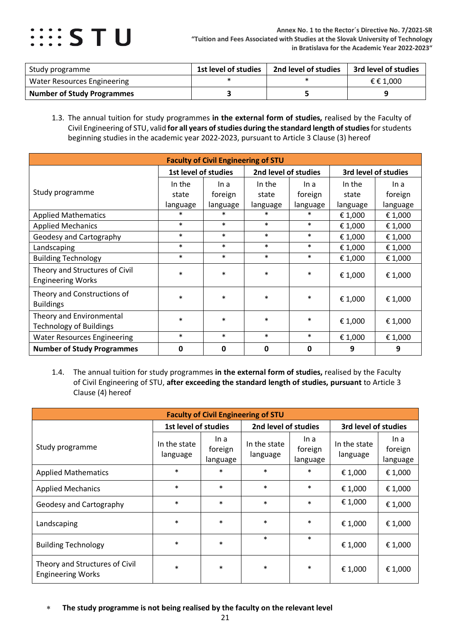

| Study programme                   | 1st level of studies | 2nd level of studies | 3rd level of studies |
|-----------------------------------|----------------------|----------------------|----------------------|
| Water Resources Engineering       |                      |                      | € € 1.000            |
| <b>Number of Study Programmes</b> |                      |                      |                      |

<span id="page-20-0"></span>1.3. The annual tuition for study programmes **in the external form of studies,** realised by the Faculty of Civil Engineering of STU, valid **for all years of studies during the standard length of studies**for students beginning studies in the academic year 2022-2023, pursuant to Article 3 Clause (3) hereof

| <b>Faculty of Civil Engineering of STU</b>                 |                                              |          |          |             |                      |          |  |  |
|------------------------------------------------------------|----------------------------------------------|----------|----------|-------------|----------------------|----------|--|--|
|                                                            | 1st level of studies<br>2nd level of studies |          |          |             | 3rd level of studies |          |  |  |
|                                                            | In the                                       | In a     | In the   | In a        | In the               | In a     |  |  |
| Study programme                                            | state                                        | foreign  | state    | foreign     | state                | foreign  |  |  |
|                                                            | language                                     | language | language | language    | language             | language |  |  |
| <b>Applied Mathematics</b>                                 | $\ast$                                       | $\ast$   | $\ast$   | $\ast$      | € 1,000              | € 1,000  |  |  |
| <b>Applied Mechanics</b>                                   | $\ast$                                       | $\ast$   | $\ast$   | $\ast$      | € 1,000              | € 1,000  |  |  |
| Geodesy and Cartography                                    | $\ast$                                       | $\ast$   | $\ast$   | $\ast$      | € 1,000              | € 1,000  |  |  |
| Landscaping                                                | $\ast$                                       | $\ast$   | $\ast$   | $\ast$      | € 1,000              | € 1,000  |  |  |
| <b>Building Technology</b>                                 | $\ast$                                       | $\ast$   | $\ast$   | $\ast$      | € 1,000              | € 1,000  |  |  |
| Theory and Structures of Civil<br><b>Engineering Works</b> | $\ast$                                       | $\ast$   | $\ast$   | $\ast$      | € 1,000              | € 1,000  |  |  |
| Theory and Constructions of<br><b>Buildings</b>            | $\ast$                                       | $\ast$   | $\ast$   | $\ast$      | € 1,000              | € 1,000  |  |  |
| Theory and Environmental<br><b>Technology of Buildings</b> | $\ast$                                       | $\ast$   | $\ast$   | $\ast$      | € 1,000              | € 1,000  |  |  |
| <b>Water Resources Engineering</b>                         | $\ast$                                       | $\ast$   | $\ast$   | $\ast$      | € 1,000              | € 1,000  |  |  |
| <b>Number of Study Programmes</b>                          | 0                                            | 0        | 0        | $\mathbf 0$ | 9                    | 9        |  |  |

<span id="page-20-1"></span>1.4. The annual tuition for study programmes **in the external form of studies,** realised by the Faculty of Civil Engineering of STU, **after exceeding the standard length of studies, pursuant** to Article 3 Clause (4) hereof

| <b>Faculty of Civil Engineering of STU</b>                 |                          |                             |                          |                             |                          |                             |  |  |
|------------------------------------------------------------|--------------------------|-----------------------------|--------------------------|-----------------------------|--------------------------|-----------------------------|--|--|
|                                                            | 1st level of studies     |                             | 2nd level of studies     |                             | 3rd level of studies     |                             |  |  |
| Study programme                                            | In the state<br>language | In a<br>foreign<br>language | In the state<br>language | In a<br>foreign<br>language | In the state<br>language | In a<br>foreign<br>language |  |  |
| <b>Applied Mathematics</b>                                 | $\ast$                   | $\ast$                      | $\ast$                   | $\ast$                      | €1,000                   | € 1,000                     |  |  |
| <b>Applied Mechanics</b>                                   | $\ast$                   | $\ast$                      | $\ast$                   | $\ast$                      | €1,000                   | € 1,000                     |  |  |
| Geodesy and Cartography                                    | $\ast$                   | $\ast$                      | $\ast$                   | $\ast$                      | € 1,000                  | €1,000                      |  |  |
| Landscaping                                                | $\ast$                   | $\ast$                      | $\ast$                   | $\ast$                      | € 1,000                  | € 1,000                     |  |  |
| <b>Building Technology</b>                                 | $\ast$                   | $\ast$                      | $\ast$                   | $\ast$                      | € 1,000                  | € 1,000                     |  |  |
| Theory and Structures of Civil<br><b>Engineering Works</b> | $\ast$                   | $\ast$                      | $\ast$                   | $\ast$                      | € 1,000                  | €1,000                      |  |  |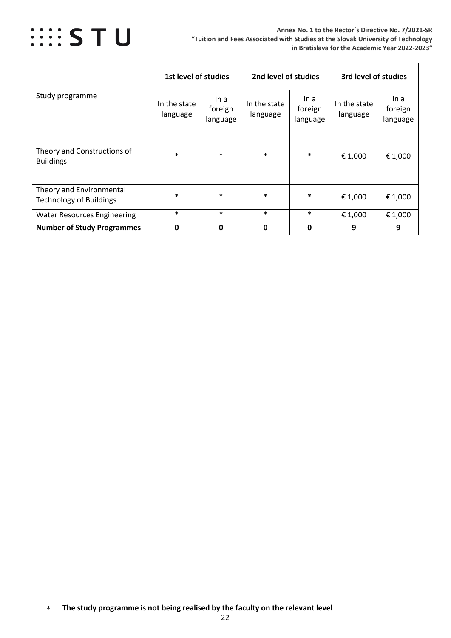

| Study programme                                            | 1st level of studies     |                             | 2nd level of studies     |                             | 3rd level of studies     |                             |
|------------------------------------------------------------|--------------------------|-----------------------------|--------------------------|-----------------------------|--------------------------|-----------------------------|
|                                                            | In the state<br>language | In a<br>foreign<br>language | In the state<br>language | In a<br>foreign<br>language | In the state<br>language | In a<br>foreign<br>language |
| Theory and Constructions of<br><b>Buildings</b>            | $\ast$                   | $\ast$                      | $\ast$                   | $\ast$                      | € 1,000                  | € 1,000                     |
| Theory and Environmental<br><b>Technology of Buildings</b> | $\ast$                   | $\ast$                      | $\ast$                   | $\ast$                      | € 1,000                  | €1,000                      |
| <b>Water Resources Engineering</b>                         | $\ast$                   | $\ast$                      | $\ast$                   | $\ast$                      | € 1,000                  | € 1,000                     |
| <b>Number of Study Programmes</b>                          | 0                        | 0                           | 0                        | 0                           | 9                        | 9                           |

<sup>∗</sup> **The study programme is not being realised by the faculty on the relevant level**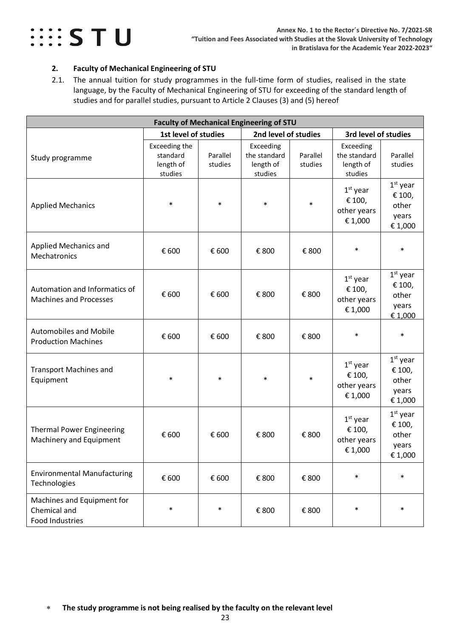

#### <span id="page-22-0"></span>**2. Faculty of Mechanical Engineering of STU**

<span id="page-22-1"></span>2.1. The annual tuition for study programmes in the full-time form of studies, realised in the state language, by the Faculty of Mechanical Engineering of STU for exceeding of the standard length of studies and for parallel studies, pursuant to Article 2 Clauses (3) and (5) hereof

| <b>Faculty of Mechanical Engineering of STU</b>                      |                                                   |                     |                                                   |                     |                                                   |                                                   |  |  |
|----------------------------------------------------------------------|---------------------------------------------------|---------------------|---------------------------------------------------|---------------------|---------------------------------------------------|---------------------------------------------------|--|--|
|                                                                      | 1st level of studies                              |                     | 2nd level of studies                              |                     | 3rd level of studies                              |                                                   |  |  |
| Study programme                                                      | Exceeding the<br>standard<br>length of<br>studies | Parallel<br>studies | Exceeding<br>the standard<br>length of<br>studies | Parallel<br>studies | Exceeding<br>the standard<br>length of<br>studies | Parallel<br>studies                               |  |  |
| <b>Applied Mechanics</b>                                             | $\ast$                                            | $\ast$              | $\ast$                                            | $\ast$              | $1st$ year<br>€ 100,<br>other years<br>€ 1,000    | $1st$ year<br>€ 100,<br>other<br>years<br>€ 1,000 |  |  |
| <b>Applied Mechanics and</b><br>Mechatronics                         | € 600                                             | € 600               | € 800                                             | € 800               | $\ast$                                            | $\ast$                                            |  |  |
| Automation and Informatics of<br><b>Machines and Processes</b>       | € 600                                             | € 600               | € 800                                             | € 800               | $1st$ year<br>€ 100,<br>other years<br>€ 1,000    | $1st$ year<br>€ 100,<br>other<br>years<br>€1,000  |  |  |
| <b>Automobiles and Mobile</b><br><b>Production Machines</b>          | € 600                                             | € 600               | € 800                                             | € 800               | $\ast$                                            | $\ast$                                            |  |  |
| <b>Transport Machines and</b><br>Equipment                           | $\ast$                                            | $\ast$              | $\ast$                                            | $\ast$              | $1st$ year<br>€ 100,<br>other years<br>€ 1,000    | $1st$ year<br>€ 100,<br>other<br>years<br>€ 1,000 |  |  |
| <b>Thermal Power Engineering</b><br>Machinery and Equipment          | € 600                                             | € 600               | € 800                                             | € 800               | $1st$ year<br>€ 100,<br>other years<br>€1,000     | $1st$ year<br>€ 100,<br>other<br>years<br>€1,000  |  |  |
| <b>Environmental Manufacturing</b><br>Technologies                   | € 600                                             | € 600               | € 800                                             | € 800               | $\ast$                                            | $\ast$                                            |  |  |
| Machines and Equipment for<br>Chemical and<br><b>Food Industries</b> | $\ast$                                            | $\ast$              | € 800                                             | € 800               | $\ast$                                            | $\ast$                                            |  |  |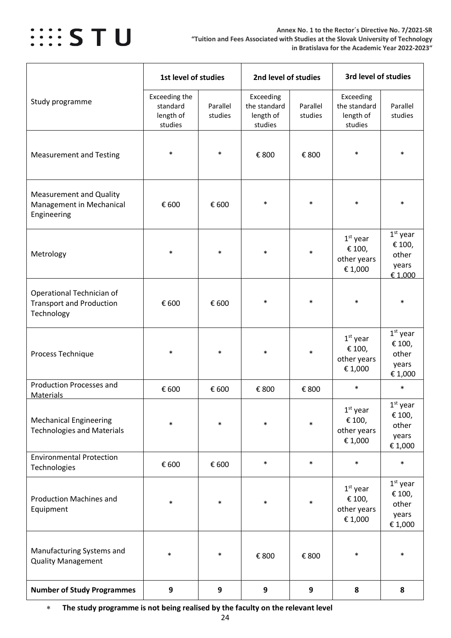

|                                                                            | 1st level of studies                              |                     | 2nd level of studies                              |                     | 3rd level of studies                              |                                                   |
|----------------------------------------------------------------------------|---------------------------------------------------|---------------------|---------------------------------------------------|---------------------|---------------------------------------------------|---------------------------------------------------|
| Study programme                                                            | Exceeding the<br>standard<br>length of<br>studies | Parallel<br>studies | Exceeding<br>the standard<br>length of<br>studies | Parallel<br>studies | Exceeding<br>the standard<br>length of<br>studies | Parallel<br>studies                               |
| <b>Measurement and Testing</b>                                             | $\ast$                                            | $\ast$              | € 800                                             | € 800               | $\ast$                                            | $\ast$                                            |
| <b>Measurement and Quality</b><br>Management in Mechanical<br>Engineering  | € 600                                             | € 600               | $\ast$                                            | $\ast$              | $\ast$                                            | $\ast$                                            |
| Metrology                                                                  | $\ast$                                            | $\ast$              | $\ast$                                            | $\ast$              | $1st$ year<br>€ 100,<br>other years<br>€1,000     | $1st$ year<br>€ 100,<br>other<br>years<br>€ 1,000 |
| Operational Technician of<br><b>Transport and Production</b><br>Technology | € 600                                             | € 600               | $\ast$                                            | $\ast$              | $\ast$                                            | $\ast$                                            |
| Process Technique                                                          | $\ast$                                            | $\ast$              | $\ast$                                            | $\ast$              | $1st$ year<br>€ 100,<br>other years<br>€1,000     | $1st$ year<br>€ 100,<br>other<br>years<br>€ 1,000 |
| <b>Production Processes and</b><br><b>Materials</b>                        | € 600                                             | € 600               | € 800                                             | € 800               | $\ast$                                            | $\ast$                                            |
| <b>Mechanical Engineering</b><br><b>Technologies and Materials</b>         | $\ast$                                            | $\ast$              | $\ast$                                            | $\ast$              | $1st$ year<br>€ 100,<br>other years<br>€ 1,000    | $1st$ year<br>€ 100,<br>other<br>years<br>€ 1,000 |
| <b>Environmental Protection</b><br>Technologies                            | € 600                                             | € 600               | $\ast$                                            | $\ast$              | $\ast$                                            | $\ast$                                            |
| <b>Production Machines and</b><br>Equipment                                | $\ast$                                            | $\ast$              | $\ast$                                            | $\ast$              | $1st$ year<br>€ 100,<br>other years<br>€1,000     | $1st$ year<br>€ 100,<br>other<br>years<br>€ 1,000 |
| Manufacturing Systems and<br><b>Quality Management</b>                     | $\ast$                                            | $\ast$              | € 800                                             | € 800               | $\ast$                                            | $\ast$                                            |
| <b>Number of Study Programmes</b>                                          | 9                                                 | 9                   | 9                                                 | 9                   | 8                                                 | 8                                                 |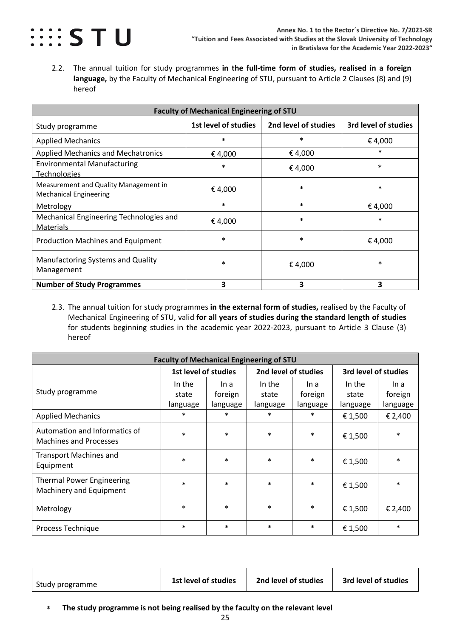

<span id="page-24-0"></span>2.2. The annual tuition for study programmes **in the full-time form of studies, realised in a foreign language,** by the Faculty of Mechanical Engineering of STU, pursuant to Article 2 Clauses (8) and (9) hereof

| <b>Faculty of Mechanical Engineering of STU</b>                        |                      |                      |                      |  |  |  |  |  |  |
|------------------------------------------------------------------------|----------------------|----------------------|----------------------|--|--|--|--|--|--|
| Study programme                                                        | 1st level of studies | 2nd level of studies | 3rd level of studies |  |  |  |  |  |  |
| <b>Applied Mechanics</b>                                               | $\ast$               | $\ast$               | €4,000               |  |  |  |  |  |  |
| <b>Applied Mechanics and Mechatronics</b>                              | €4,000               | € 4,000              | $\ast$               |  |  |  |  |  |  |
| <b>Environmental Manufacturing</b><br><b>Technologies</b>              | $\ast$               | €4,000               | $\ast$               |  |  |  |  |  |  |
| Measurement and Quality Management in<br><b>Mechanical Engineering</b> | €4,000               | $\ast$               | $\ast$               |  |  |  |  |  |  |
| Metrology                                                              | $\ast$               | $\ast$               | €4,000               |  |  |  |  |  |  |
| Mechanical Engineering Technologies and<br><b>Materials</b>            | € 4,000              | $\ast$               | $\ast$               |  |  |  |  |  |  |
| <b>Production Machines and Equipment</b>                               | $\ast$               | $\ast$               | €4,000               |  |  |  |  |  |  |
| Manufactoring Systems and Quality<br>Management                        | $\ast$               | €4,000               | $\ast$               |  |  |  |  |  |  |
| <b>Number of Study Programmes</b>                                      | 3                    | 3                    | 3                    |  |  |  |  |  |  |

<span id="page-24-1"></span>2.3. The annual tuition for study programmes **in the external form of studies,** realised by the Faculty of Mechanical Engineering of STU, valid **for all years of studies during the standard length of studies** for students beginning studies in the academic year 2022-2023, pursuant to Article 3 Clause (3) hereof

| <b>Faculty of Mechanical Engineering of STU</b>                |                      |          |                      |          |                      |          |  |  |  |  |
|----------------------------------------------------------------|----------------------|----------|----------------------|----------|----------------------|----------|--|--|--|--|
|                                                                | 1st level of studies |          | 2nd level of studies |          | 3rd level of studies |          |  |  |  |  |
|                                                                | In the               | In a     | In the               | In a     | In the               | In a     |  |  |  |  |
| Study programme                                                | state                | foreign  | state                | foreign  | state                | foreign  |  |  |  |  |
|                                                                | language             | language | language             | language | language             | language |  |  |  |  |
| <b>Applied Mechanics</b>                                       | $\ast$               | $\ast$   | $\ast$               | $\ast$   | €1,500               | € 2,400  |  |  |  |  |
| Automation and Informatics of<br><b>Machines and Processes</b> | $\ast$               | $\ast$   | $\ast$               | $\ast$   | €1,500               | $\ast$   |  |  |  |  |
| <b>Transport Machines and</b><br>Equipment                     | $\ast$               | $\ast$   | $\ast$               | $\ast$   | €1,500               | $\ast$   |  |  |  |  |
| <b>Thermal Power Engineering</b><br>Machinery and Equipment    | $\ast$               | $\ast$   | $\ast$               | $\ast$   | € 1,500              | $\ast$   |  |  |  |  |
| Metrology                                                      | $\ast$               | $\ast$   | $\ast$               | $\ast$   | € 1,500              | € 2,400  |  |  |  |  |
| Process Technique                                              | $\ast$               | $\ast$   | $\ast$               | $\ast$   | € 1,500              | $\ast$   |  |  |  |  |

| Study programme | 1st level of studies | 2nd level of studies | 3rd level of studies |
|-----------------|----------------------|----------------------|----------------------|
|                 |                      |                      |                      |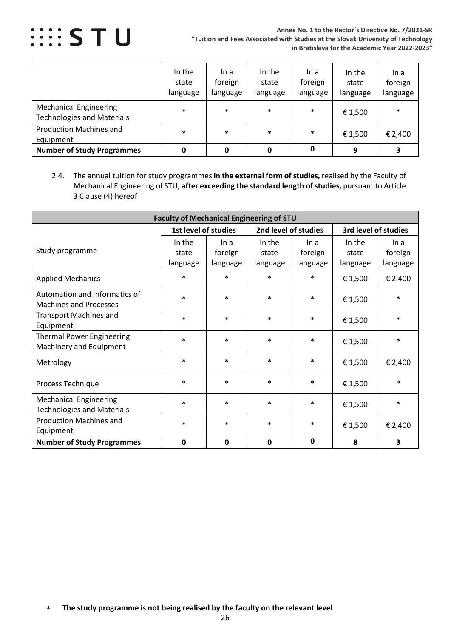

|                                                                    | In the<br>state<br>language | In a<br>foreign<br>language | In the<br>state<br>language | In a<br>foreign<br>language | In the<br>state<br>language | In a<br>foreign<br>language |
|--------------------------------------------------------------------|-----------------------------|-----------------------------|-----------------------------|-----------------------------|-----------------------------|-----------------------------|
| <b>Mechanical Engineering</b><br><b>Technologies and Materials</b> | $\ast$                      | $\ast$                      | $\ast$                      | $\ast$                      | € 1,500                     | $\ast$                      |
| <b>Production Machines and</b><br>Equipment                        | $\ast$                      | $\ast$                      | $\ast$                      | $\ast$                      | € 1,500                     | € 2,400                     |
| <b>Number of Study Programmes</b>                                  |                             | 0                           |                             | 0                           | 9                           |                             |

<span id="page-25-0"></span>2.4. The annual tuition for study programmes **in the external form of studies,** realised by the Faculty of Mechanical Engineering of STU, **after exceeding the standard length of studies,** pursuant to Article 3 Clause (4) hereof

| <b>Faculty of Mechanical Engineering of STU</b>                    |                             |                             |                             |                             |                             |                             |  |  |  |  |
|--------------------------------------------------------------------|-----------------------------|-----------------------------|-----------------------------|-----------------------------|-----------------------------|-----------------------------|--|--|--|--|
|                                                                    | 1st level of studies        |                             | 2nd level of studies        |                             | 3rd level of studies        |                             |  |  |  |  |
| Study programme                                                    | In the<br>state<br>language | In a<br>foreign<br>language | In the<br>state<br>language | In a<br>foreign<br>language | In the<br>state<br>language | In a<br>foreign<br>language |  |  |  |  |
| <b>Applied Mechanics</b>                                           | $\ast$                      | $\ast$                      | $\ast$                      | $\ast$                      | € 1,500                     | € 2,400                     |  |  |  |  |
| Automation and Informatics of<br><b>Machines and Processes</b>     | $\ast$                      | $\ast$                      | $\ast$                      | $\ast$                      | € 1,500                     | $\ast$                      |  |  |  |  |
| <b>Transport Machines and</b><br>Equipment                         | $\ast$                      | $\ast$                      | $\ast$                      | $\ast$                      | € 1,500                     | $\ast$                      |  |  |  |  |
| <b>Thermal Power Engineering</b><br>Machinery and Equipment        | $\ast$                      | $\ast$                      | $\ast$                      | $\ast$                      | € 1,500                     | $\ast$                      |  |  |  |  |
| Metrology                                                          | $\ast$                      | $\ast$                      | $\ast$                      | $\ast$                      | € 1,500                     | € 2,400                     |  |  |  |  |
| Process Technique                                                  | $\ast$                      | $\ast$                      | $\ast$                      | $\ast$                      | € 1,500                     | $\ast$                      |  |  |  |  |
| <b>Mechanical Engineering</b><br><b>Technologies and Materials</b> | $\ast$                      | $\ast$                      | $\ast$                      | ∗                           | € 1,500                     | $\ast$                      |  |  |  |  |
| <b>Production Machines and</b><br>Equipment                        | $\ast$                      | $\ast$                      | $\ast$                      | $\ast$                      | € 1,500                     | € 2,400                     |  |  |  |  |
| <b>Number of Study Programmes</b>                                  | 0                           | 0                           | $\mathbf{0}$                | $\mathbf 0$                 | 8                           | 3                           |  |  |  |  |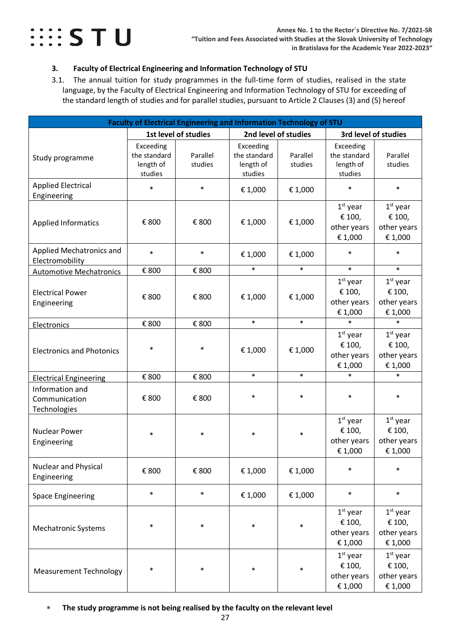### $\cdots$  STU

#### <span id="page-26-0"></span>**3. Faculty of Electrical Engineering and Information Technology of STU**

<span id="page-26-1"></span>3.1. The annual tuition for study programmes in the full-time form of studies, realised in the state language, by the Faculty of Electrical Engineering and Information Technology of STU for exceeding of the standard length of studies and for parallel studies, pursuant to Article 2 Clauses (3) and (5) hereof

| Faculty of Electrical Engineering and Information Technology of STU |                                                   |                      |                                                   |                      |                                                   |                                                |  |
|---------------------------------------------------------------------|---------------------------------------------------|----------------------|---------------------------------------------------|----------------------|---------------------------------------------------|------------------------------------------------|--|
|                                                                     |                                                   | 1st level of studies |                                                   | 2nd level of studies |                                                   | 3rd level of studies                           |  |
| Study programme                                                     | Exceeding<br>the standard<br>length of<br>studies | Parallel<br>studies  | Exceeding<br>the standard<br>length of<br>studies | Parallel<br>studies  | Exceeding<br>the standard<br>length of<br>studies | Parallel<br>studies                            |  |
| <b>Applied Electrical</b><br>Engineering                            | $\ast$                                            | $\ast$               | € 1,000                                           | € 1,000              | $\ast$                                            | $\ast$                                         |  |
| <b>Applied Informatics</b>                                          | € 800                                             | € 800                | € 1,000                                           | € 1,000              | $1st$ year<br>€ 100,<br>other years<br>€ 1,000    | $1st$ year<br>€ 100,<br>other years<br>€ 1,000 |  |
| Applied Mechatronics and<br>Electromobility                         | $\ast$                                            | $\ast$               | € 1,000                                           | € 1,000              | $\ast$                                            | $\ast$                                         |  |
| <b>Automotive Mechatronics</b>                                      | € 800                                             | € 800                | $\ast$                                            | $\ast$               | $\ast$                                            | $\ast$                                         |  |
| <b>Electrical Power</b><br>Engineering                              | € 800                                             | € 800                | € 1,000                                           | € 1,000              | $1st$ year<br>€ 100,<br>other years<br>€ 1,000    | $1st$ year<br>€ 100,<br>other years<br>€ 1,000 |  |
| Electronics                                                         | € 800                                             | € 800                | $\ast$                                            | $\ast$               | $\ast$                                            | $\ast$                                         |  |
| <b>Electronics and Photonics</b>                                    | $\ast$                                            | $\ast$               | € 1,000                                           | € 1,000              | $1st$ year<br>€ 100,<br>other years<br>€ 1,000    | $1st$ year<br>€ 100,<br>other years<br>€ 1,000 |  |
| <b>Electrical Engineering</b>                                       | € 800                                             | € 800                | $\ast$                                            | $\ast$               | $\ast$                                            | $\ast$                                         |  |
| Information and<br>Communication<br>Technologies                    | € 800                                             | € 800                | $\ast$                                            | $\ast$               | $\ast$                                            | $\ast$                                         |  |
| <b>Nuclear Power</b><br>Engineering                                 | $\ast$                                            | $\ast$               | $\ast$                                            | $\ast$               | $1st$ year<br>€ 100,<br>other years<br>€ 1,000    | $1st$ year<br>€ 100,<br>other years<br>€1,000  |  |
| <b>Nuclear and Physical</b><br>Engineering                          | € 800                                             | € 800                | € 1,000                                           | € 1,000              | $\ast$                                            | $\ast$                                         |  |
| <b>Space Engineering</b>                                            | $\ast$                                            | $\ast$               | € 1,000                                           | € 1,000              | $\ast$                                            | $\ast$                                         |  |
| <b>Mechatronic Systems</b>                                          | $\ast$                                            | $\ast$               | $\ast$                                            | $\ast$               | $1st$ year<br>€ 100,<br>other years<br>€ 1,000    | $1st$ year<br>€ 100,<br>other years<br>€ 1,000 |  |
| <b>Measurement Technology</b>                                       | $\ast$                                            | $\ast$               | $\ast$                                            | $\ast$               | $1st$ year<br>€ 100,<br>other years<br>€ 1,000    | $1st$ year<br>€ 100,<br>other years<br>€ 1,000 |  |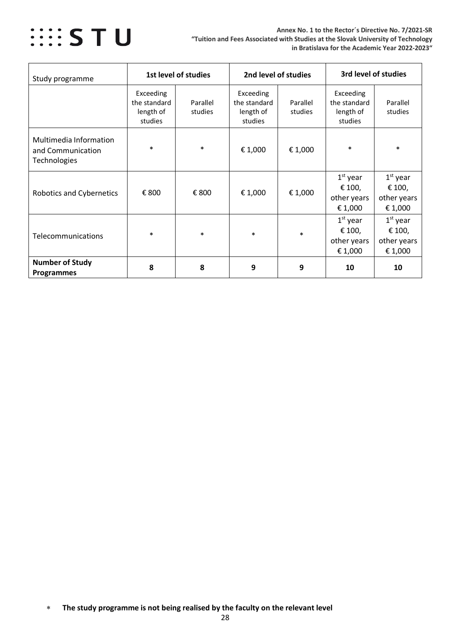

| Study programme                                             |                                                   | 1st level of studies | 2nd level of studies                              |                     | 3rd level of studies                              |                                                |  |
|-------------------------------------------------------------|---------------------------------------------------|----------------------|---------------------------------------------------|---------------------|---------------------------------------------------|------------------------------------------------|--|
|                                                             | Exceeding<br>the standard<br>length of<br>studies | Parallel<br>studies  | Exceeding<br>the standard<br>length of<br>studies | Parallel<br>studies | Exceeding<br>the standard<br>length of<br>studies | Parallel<br>studies                            |  |
| Multimedia Information<br>and Communication<br>Technologies | $\ast$                                            | $\ast$               | € 1,000                                           | €1,000              | $\ast$                                            | $\ast$                                         |  |
| <b>Robotics and Cybernetics</b>                             | € 800                                             | € 800                | € 1,000                                           | € 1,000             | $1st$ year<br>€ 100,<br>other years<br>€ 1,000    | $1st$ year<br>€ 100,<br>other years<br>€ 1,000 |  |
| Telecommunications                                          | $\ast$                                            | $\ast$               | $\ast$                                            | $\ast$              | $1st$ year<br>€ 100,<br>other years<br>€ 1,000    | $1st$ year<br>€ 100,<br>other years<br>€ 1,000 |  |
| <b>Number of Study</b><br><b>Programmes</b>                 | 8                                                 | 8                    | 9                                                 | 9                   | 10                                                | 10                                             |  |

<sup>∗</sup> **The study programme is not being realised by the faculty on the relevant level**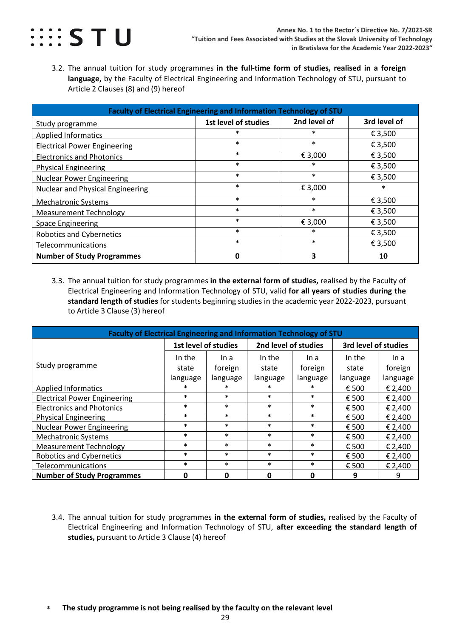

<span id="page-28-0"></span>3.2. The annual tuition for study programmes **in the full-time form of studies, realised in a foreign language,** by the Faculty of Electrical Engineering and Information Technology of STU, pursuant to Article 2 Clauses (8) and (9) hereof

| Faculty of Electrical Engineering and Information Technology of STU |                      |              |              |  |  |  |  |  |  |  |
|---------------------------------------------------------------------|----------------------|--------------|--------------|--|--|--|--|--|--|--|
| Study programme                                                     | 1st level of studies | 2nd level of | 3rd level of |  |  |  |  |  |  |  |
| <b>Applied Informatics</b>                                          | $\ast$               | $\ast$       | € 3,500      |  |  |  |  |  |  |  |
| <b>Electrical Power Engineering</b>                                 | $\ast$               | $\ast$       | € 3,500      |  |  |  |  |  |  |  |
| <b>Electronics and Photonics</b>                                    | $\ast$               | € 3,000      | € 3,500      |  |  |  |  |  |  |  |
| <b>Physical Engineering</b>                                         | $\ast$               | $\ast$       | € 3,500      |  |  |  |  |  |  |  |
| <b>Nuclear Power Engineering</b>                                    | $\ast$               | $\ast$       | € 3,500      |  |  |  |  |  |  |  |
| <b>Nuclear and Physical Engineering</b>                             | $\ast$               | € 3,000      | $\ast$       |  |  |  |  |  |  |  |
| <b>Mechatronic Systems</b>                                          | $\ast$               | $\ast$       | € 3,500      |  |  |  |  |  |  |  |
| <b>Measurement Technology</b>                                       | $\ast$               | $\ast$       | € 3,500      |  |  |  |  |  |  |  |
| <b>Space Engineering</b>                                            | $\ast$               | € 3,000      | € 3,500      |  |  |  |  |  |  |  |
| <b>Robotics and Cybernetics</b>                                     | $\ast$               | $\ast$       | € 3,500      |  |  |  |  |  |  |  |
| Telecommunications                                                  | $\ast$               | $\ast$       | € 3,500      |  |  |  |  |  |  |  |
| <b>Number of Study Programmes</b>                                   | 0                    | 3            | 10           |  |  |  |  |  |  |  |

<span id="page-28-1"></span>3.3. The annual tuition for study programmes **in the external form of studies,** realised by the Faculty of Electrical Engineering and Information Technology of STU, valid **for all years of studies during the standard length of studies** for students beginning studies in the academic year 2022-2023, pursuant to Article 3 Clause (3) hereof

| Faculty of Electrical Engineering and Information Technology of STU |                      |          |                      |          |                      |          |  |  |  |  |
|---------------------------------------------------------------------|----------------------|----------|----------------------|----------|----------------------|----------|--|--|--|--|
|                                                                     | 1st level of studies |          | 2nd level of studies |          | 3rd level of studies |          |  |  |  |  |
|                                                                     | In the               | In a     | In the               | In a     | In the               | In a     |  |  |  |  |
| Study programme                                                     | state                | foreign  | state                | foreign  | state                | foreign  |  |  |  |  |
|                                                                     | language             | language | language             | language | language             | language |  |  |  |  |
| <b>Applied Informatics</b>                                          | ∗                    | $\ast$   |                      | ∗        | € 500                | € 2,400  |  |  |  |  |
| <b>Electrical Power Engineering</b>                                 | $\ast$               | $\ast$   | $\ast$               | $\ast$   | € 500                | € 2,400  |  |  |  |  |
| <b>Electronics and Photonics</b>                                    | $\ast$               | $\ast$   | $\ast$               | $\ast$   | € 500                | € 2,400  |  |  |  |  |
| <b>Physical Engineering</b>                                         | $\ast$               | $\ast$   | $\ast$               | $\ast$   | € 500                | € 2,400  |  |  |  |  |
| <b>Nuclear Power Engineering</b>                                    | $\ast$               | $\ast$   | $\ast$               | $\ast$   | € 500                | € 2,400  |  |  |  |  |
| <b>Mechatronic Systems</b>                                          | $\ast$               | $\ast$   | $\ast$               | $\ast$   | € 500                | € 2,400  |  |  |  |  |
| <b>Measurement Technology</b>                                       | $\ast$               | $\ast$   | $\ast$               | $\ast$   | € 500                | € 2,400  |  |  |  |  |
| <b>Robotics and Cybernetics</b>                                     | $\ast$               | $\ast$   | $\ast$               | $\ast$   | € 500                | € 2,400  |  |  |  |  |
| Telecommunications                                                  | $\ast$               | $\ast$   | $\ast$               | $\ast$   | € 500                | € 2,400  |  |  |  |  |
| <b>Number of Study Programmes</b>                                   | O                    | 0        | <sup>0</sup>         | ŋ        | 9                    | 9        |  |  |  |  |

- <span id="page-28-2"></span>3.4. The annual tuition for study programmes **in the external form of studies,** realised by the Faculty of Electrical Engineering and Information Technology of STU, **after exceeding the standard length of studies,** pursuant to Article 3 Clause (4) hereof
- ∗ **The study programme is not being realised by the faculty on the relevant level**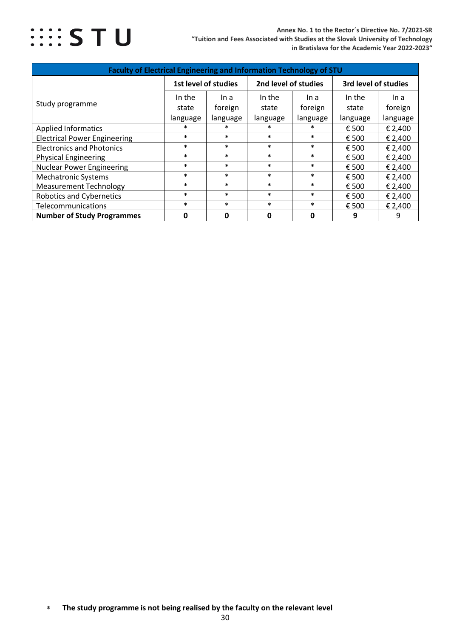

| Faculty of Electrical Engineering and Information Technology of STU |                                              |          |             |                      |          |          |  |  |
|---------------------------------------------------------------------|----------------------------------------------|----------|-------------|----------------------|----------|----------|--|--|
|                                                                     | 2nd level of studies<br>1st level of studies |          |             | 3rd level of studies |          |          |  |  |
|                                                                     | In the                                       | In a     | In the      | In a                 | In the   | In a     |  |  |
| Study programme                                                     | state                                        | foreign  | state       | foreign              | state    | foreign  |  |  |
|                                                                     | language                                     | language | language    | language             | language | language |  |  |
| <b>Applied Informatics</b>                                          | $\ast$                                       | $\ast$   | $\ast$      | $\ast$               | € 500    | € 2,400  |  |  |
| <b>Electrical Power Engineering</b>                                 | $\ast$                                       | $\ast$   | $\ast$      | $\ast$               | € 500    | € 2,400  |  |  |
| <b>Electronics and Photonics</b>                                    | $\ast$                                       | $\ast$   | $\ast$      | $\ast$               | € 500    | € 2,400  |  |  |
| <b>Physical Engineering</b>                                         | $\ast$                                       | $\ast$   | $\ast$      | $\ast$               | € 500    | € 2,400  |  |  |
| <b>Nuclear Power Engineering</b>                                    | $\ast$                                       | $\ast$   | $\ast$      | $\ast$               | € 500    | € 2,400  |  |  |
| <b>Mechatronic Systems</b>                                          | $\ast$                                       | $\ast$   | $\ast$      | $\ast$               | € 500    | € 2,400  |  |  |
| <b>Measurement Technology</b>                                       | $\ast$                                       | $\ast$   | $\ast$      | $\ast$               | € 500    | € 2,400  |  |  |
| <b>Robotics and Cybernetics</b>                                     | $\ast$                                       | $\ast$   | $\ast$      | $\ast$               | € 500    | € 2,400  |  |  |
| Telecommunications                                                  | $\ast$                                       | $\ast$   | $\ast$      | $\ast$               | € 500    | € 2,400  |  |  |
| <b>Number of Study Programmes</b>                                   | $\mathbf{0}$                                 | 0        | $\mathbf 0$ | 0                    | 9        | 9        |  |  |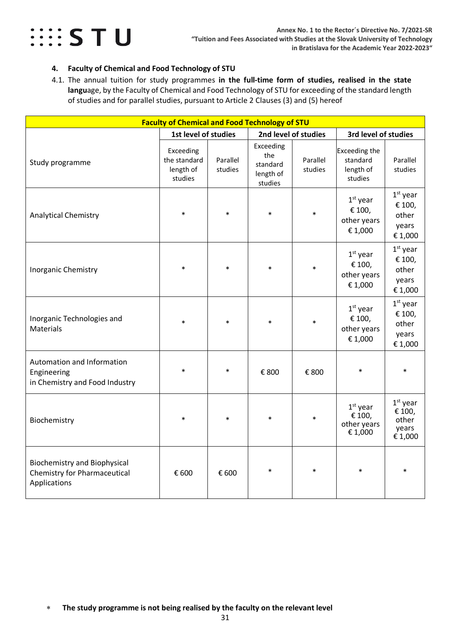

#### <span id="page-30-0"></span>**4. Faculty of Chemical and Food Technology of STU**

<span id="page-30-1"></span>4.1. The annual tuition for study programmes **in the full-time form of studies, realised in the state langu**age, by the Faculty of Chemical and Food Technology of STU for exceeding of the standard length of studies and for parallel studies, pursuant to Article 2 Clauses (3) and (5) hereof

| <b>Faculty of Chemical and Food Technology of STU</b>                                      |                                                   |                     |                                                      |                      |                                                                              |                                                   |  |
|--------------------------------------------------------------------------------------------|---------------------------------------------------|---------------------|------------------------------------------------------|----------------------|------------------------------------------------------------------------------|---------------------------------------------------|--|
|                                                                                            | 1st level of studies                              |                     |                                                      | 2nd level of studies | 3rd level of studies                                                         |                                                   |  |
| Study programme                                                                            | Exceeding<br>the standard<br>length of<br>studies | Parallel<br>studies | Exceeding<br>the<br>standard<br>length of<br>studies | Parallel<br>studies  | Exceeding the<br>standard<br>length of<br>studies                            | Parallel<br>studies                               |  |
| <b>Analytical Chemistry</b>                                                                | $\ast$                                            | $\ast$              | $\star$                                              | $\ast$               | $1st$ year<br>€ 100,<br>other years<br>€ 1,000                               | $1st$ year<br>€ 100,<br>other<br>years<br>€ 1,000 |  |
| <b>Inorganic Chemistry</b>                                                                 | $\ast$                                            | $\ast$              | $\ast$                                               | $\ast$               | $1st$ year<br>€ 100,<br>other years<br>€ 1,000                               | $1st$ year<br>€ 100,<br>other<br>years<br>€ 1,000 |  |
| Inorganic Technologies and<br><b>Materials</b>                                             | $\ast$                                            | $\ast$              |                                                      |                      | $1st$ year<br>€ 100,<br>other years<br>$\mathop{\varepsilon}\nolimits$ 1,000 | $1st$ year<br>€ 100,<br>other<br>years<br>€ 1,000 |  |
| Automation and Information<br>Engineering<br>in Chemistry and Food Industry                | $\ast$                                            |                     | € 800                                                | € 800                | $\ast$                                                                       | $\ast$                                            |  |
| Biochemistry                                                                               | $\ast$                                            | $\ast$              |                                                      | $\ast$               | $1st$ year<br>€ 100,<br>other years<br>€ 1,000                               | $1st$ year<br>€ 100,<br>other<br>years<br>€ 1,000 |  |
| <b>Biochemistry and Biophysical</b><br><b>Chemistry for Pharmaceutical</b><br>Applications | € 600                                             | € 600               | $\ast$                                               | $\ast$               | $\ast$                                                                       |                                                   |  |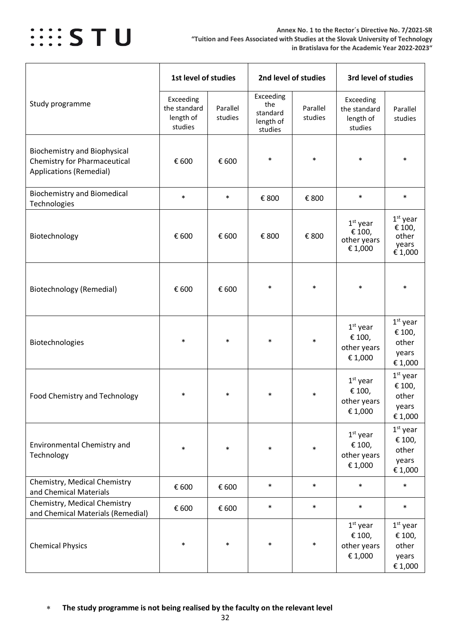

|                                                                                                              | 1st level of studies                              |                     | 2nd level of studies                                 |                     | 3rd level of studies                              |                                                   |
|--------------------------------------------------------------------------------------------------------------|---------------------------------------------------|---------------------|------------------------------------------------------|---------------------|---------------------------------------------------|---------------------------------------------------|
| Study programme                                                                                              | Exceeding<br>the standard<br>length of<br>studies | Parallel<br>studies | Exceeding<br>the<br>standard<br>length of<br>studies | Parallel<br>studies | Exceeding<br>the standard<br>length of<br>studies | Parallel<br>studies                               |
| <b>Biochemistry and Biophysical</b><br><b>Chemistry for Pharmaceutical</b><br><b>Applications (Remedial)</b> | € 600                                             | € 600               | $\ast$                                               | $\ast$              | $\ast$                                            | $\ast$                                            |
| <b>Biochemistry and Biomedical</b><br>Technologies                                                           | $\ast$                                            | $\ast$              | € 800                                                | € 800               | $\ast$                                            | $\ast$                                            |
| Biotechnology                                                                                                | € 600                                             | € 600               | € 800                                                | € 800               | $1st$ year<br>€ 100,<br>other years<br>€ 1,000    | $1st$ year<br>€ 100,<br>other<br>years<br>€ 1,000 |
| <b>Biotechnology (Remedial)</b>                                                                              | € 600                                             | € 600               | $\ast$                                               | $\ast$              | $\ast$                                            | $\ast$                                            |
| Biotechnologies                                                                                              | $\ast$                                            | $\ast$              | $\ast$                                               | $\ast$              | $1st$ year<br>€ 100,<br>other years<br>€ 1,000    | $1st$ year<br>€ 100,<br>other<br>years<br>€ 1,000 |
| Food Chemistry and Technology                                                                                | $\ast$                                            | $\ast$              | $\ast$                                               | $\ast$              | $1st$ year<br>€ 100,<br>other years<br>€ 1,000    | $1st$ year<br>€ 100,<br>other<br>years<br>€ 1,000 |
| Environmental Chemistry and<br>Technology                                                                    | $\ast$                                            | $\ast$              | $\ast$                                               | $\ast$              | $1st$ year<br>€ 100,<br>other years<br>€ 1,000    | $1st$ year<br>€ 100,<br>other<br>years<br>€ 1,000 |
| Chemistry, Medical Chemistry<br>and Chemical Materials                                                       | € 600                                             | € 600               | $\ast$                                               | $\ast$              | $\ast$                                            | $\ast$                                            |
| Chemistry, Medical Chemistry<br>and Chemical Materials (Remedial)                                            | € 600                                             | € 600               | $\ast$                                               | $\ast$              | $\ast$                                            | $\ast$                                            |
| <b>Chemical Physics</b>                                                                                      | $\ast$                                            | $\ast$              | $\ast$                                               | $\ast$              | $1st$ year<br>€ 100,<br>other years<br>€ 1,000    | $1st$ year<br>€ 100,<br>other<br>years<br>€ 1,000 |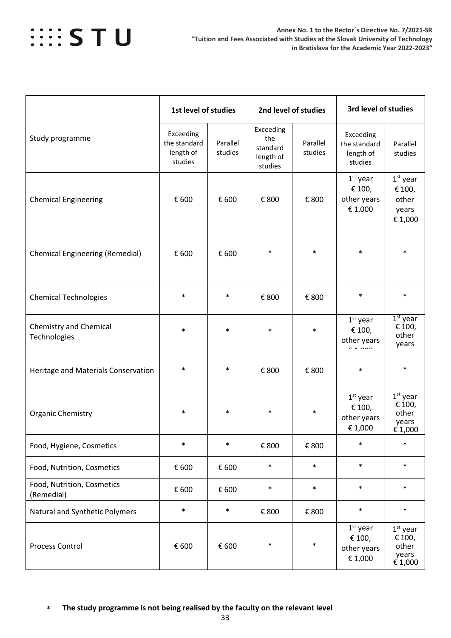# *WESTU*

|                                               | 1st level of studies                              |                     |                                                      | 2nd level of studies |                                                   | 3rd level of studies                              |  |  |
|-----------------------------------------------|---------------------------------------------------|---------------------|------------------------------------------------------|----------------------|---------------------------------------------------|---------------------------------------------------|--|--|
| Study programme                               | Exceeding<br>the standard<br>length of<br>studies | Parallel<br>studies | Exceeding<br>the<br>standard<br>length of<br>studies | Parallel<br>studies  | Exceeding<br>the standard<br>length of<br>studies | Parallel<br>studies                               |  |  |
| <b>Chemical Engineering</b>                   | € 600                                             | € 600               | € 800                                                | € 800                | $1st$ year<br>€ 100,<br>other years<br>€ 1,000    | $1st$ year<br>€ 100,<br>other<br>years<br>€ 1,000 |  |  |
| <b>Chemical Engineering (Remedial)</b>        | € 600                                             | € 600               | $\ast$                                               | $\ast$               | $\ast$                                            | $\ast$                                            |  |  |
| <b>Chemical Technologies</b>                  | $\ast$                                            | $\ast$              | € 800                                                | € 800                | $\ast$                                            | $\ast$                                            |  |  |
| <b>Chemistry and Chemical</b><br>Technologies | $\ast$                                            | $\ast$              | $\ast$                                               | $\ast$               | $1st$ year<br>€ 100,<br>other years               | $1st$ year<br>€ 100,<br>other<br>years            |  |  |
| Heritage and Materials Conservation           | $\ast$                                            |                     | € 800                                                | € 800                | $\ast$                                            | $\ast$                                            |  |  |
| <b>Organic Chemistry</b>                      | $\ast$                                            | $\ast$              | $\ast$                                               | $\ast$               | $1st$ year<br>€ 100,<br>other years<br>€ 1,000    | $1st$ year<br>€ 100,<br>other<br>years<br>€ 1,000 |  |  |
| Food, Hygiene, Cosmetics                      | $\ast$                                            | $\ast$              | € 800                                                | € 800                | $\ast$                                            | $\ast$                                            |  |  |
| Food, Nutrition, Cosmetics                    | € 600                                             | € 600               | $\ast$                                               | $\ast$               | $\ast$                                            | $\ast$                                            |  |  |
| Food, Nutrition, Cosmetics<br>(Remedial)      | € 600                                             | € 600               | $\ast$                                               | $\ast$               | $\ast$                                            | $\ast$                                            |  |  |
| Natural and Synthetic Polymers                | $\ast$                                            | $\ast$              | € 800                                                | € 800                | $\ast$                                            | $\ast$                                            |  |  |
| <b>Process Control</b>                        | € 600                                             | € 600               | $\ast$                                               | $\ast$               | $1st$ year<br>€ 100,<br>other years<br>€ 1,000    | $1st$ year<br>€ 100,<br>other<br>years<br>€ 1,000 |  |  |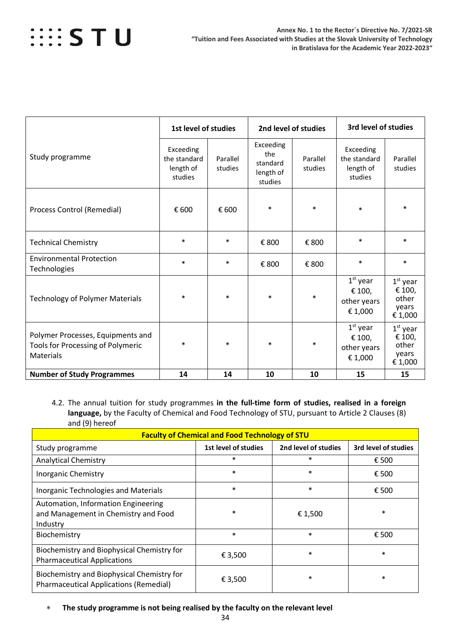|                                                                                            |                                                   | 1st level of studies |                                                      | 2nd level of studies |                                                   | 3rd level of studies                              |  |
|--------------------------------------------------------------------------------------------|---------------------------------------------------|----------------------|------------------------------------------------------|----------------------|---------------------------------------------------|---------------------------------------------------|--|
| Study programme                                                                            | Exceeding<br>the standard<br>length of<br>studies | Parallel<br>studies  | Exceeding<br>the<br>standard<br>length of<br>studies | Parallel<br>studies  | Exceeding<br>the standard<br>length of<br>studies | Parallel<br>studies                               |  |
| Process Control (Remedial)                                                                 | € 600                                             | € 600                | $\ast$                                               | $\ast$               | $\ast$                                            | $\ast$                                            |  |
| <b>Technical Chemistry</b>                                                                 | $\ast$                                            | $\ast$               | € 800                                                | € 800                | $\ast$                                            | $\ast$                                            |  |
| <b>Environmental Protection</b><br>Technologies                                            | $\ast$                                            | $\ast$               | € 800                                                | € 800                | $\ast$                                            | $\ast$                                            |  |
| <b>Technology of Polymer Materials</b>                                                     | $\ast$                                            | $\ast$               | $\ast$                                               | $\ast$               | $1st$ year<br>€ 100,<br>other years<br>€ 1,000    | $1st$ year<br>€ 100,<br>other<br>years<br>€ 1,000 |  |
| Polymer Processes, Equipments and<br><b>Tools for Processing of Polymeric</b><br>Materials | $\ast$                                            | $\ast$               | $\ast$                                               | $\ast$               | $1st$ year<br>€ 100,<br>other years<br>€ 1,000    | $1st$ year<br>€ 100,<br>other<br>years<br>€ 1,000 |  |
| <b>Number of Study Programmes</b>                                                          | 14                                                | 14                   | 10                                                   | 10                   | 15                                                | 15                                                |  |

<span id="page-33-0"></span>4.2. The annual tuition for study programmes **in the full-time form of studies, realised in a foreign language,** by the Faculty of Chemical and Food Technology of STU, pursuant to Article 2 Clauses (8) and (9) hereof

| <b>Faculty of Chemical and Food Technology of STU</b>                                       |                      |                      |                      |  |  |  |  |  |  |
|---------------------------------------------------------------------------------------------|----------------------|----------------------|----------------------|--|--|--|--|--|--|
| Study programme                                                                             | 1st level of studies | 2nd level of studies | 3rd level of studies |  |  |  |  |  |  |
| <b>Analytical Chemistry</b>                                                                 | $\ast$               | $\ast$               | € 500                |  |  |  |  |  |  |
| <b>Inorganic Chemistry</b>                                                                  | $\ast$               | $\ast$               | € 500                |  |  |  |  |  |  |
| <b>Inorganic Technologies and Materials</b>                                                 | $\ast$               | $\ast$               | € 500                |  |  |  |  |  |  |
| Automation, Information Engineering<br>and Management in Chemistry and Food<br>Industry     | $\ast$               | € 1,500              | $\ast$               |  |  |  |  |  |  |
| Biochemistry                                                                                | $\ast$               | $\ast$               | € 500                |  |  |  |  |  |  |
| Biochemistry and Biophysical Chemistry for<br><b>Pharmaceutical Applications</b>            | € 3,500              | $\ast$               | $\ast$               |  |  |  |  |  |  |
| Biochemistry and Biophysical Chemistry for<br><b>Pharmaceutical Applications (Remedial)</b> | € 3,500              | $\ast$               | $\ast$               |  |  |  |  |  |  |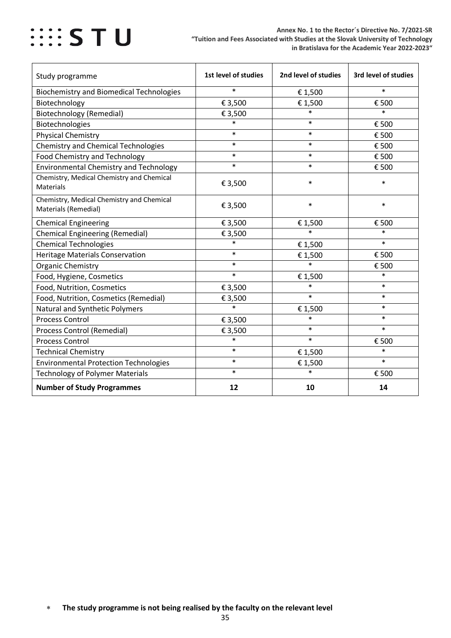| Study programme                                                   | 1st level of studies | 2nd level of studies | 3rd level of studies |
|-------------------------------------------------------------------|----------------------|----------------------|----------------------|
| <b>Biochemistry and Biomedical Technologies</b>                   | $\ast$               | € 1,500              | $\ast$               |
| Biotechnology                                                     | € 3,500              | € 1,500              | € 500                |
| <b>Biotechnology (Remedial)</b>                                   | € 3,500              | $\ast$               | $\ast$               |
| Biotechnologies                                                   | $\ast$               | $\ast$               | € 500                |
| <b>Physical Chemistry</b>                                         | $\ast$               | $\ast$               | € 500                |
| <b>Chemistry and Chemical Technologies</b>                        | $\ast$               | $\ast$               | € 500                |
| <b>Food Chemistry and Technology</b>                              | $\ast$               | $\ast$               | € 500                |
| <b>Environmental Chemistry and Technology</b>                     | $\ast$               | $\ast$               | € 500                |
| Chemistry, Medical Chemistry and Chemical<br><b>Materials</b>     | € 3,500              | $\ast$               | $\ast$               |
| Chemistry, Medical Chemistry and Chemical<br>Materials (Remedial) | € 3,500              | $\ast$               | $\ast$               |
| <b>Chemical Engineering</b>                                       | € 3,500              | € 1,500              | € 500                |
| <b>Chemical Engineering (Remedial)</b>                            | € 3,500              | $\ast$               | $\ast$               |
| <b>Chemical Technologies</b>                                      | $\ast$               | € 1,500              | $\ast$               |
| <b>Heritage Materials Conservation</b>                            | $\ast$               | € 1,500              | € 500                |
| Organic Chemistry                                                 | $\ast$               | $\ast$               | € 500                |
| Food, Hygiene, Cosmetics                                          | $\ast$               | € 1,500              | $\ast$               |
| Food, Nutrition, Cosmetics                                        | € 3,500              | $\ast$               | $\ast$               |
| Food, Nutrition, Cosmetics (Remedial)                             | € 3,500              | $\ast$               | $\ast$               |
| Natural and Synthetic Polymers                                    | $\ast$               | € 1,500              | $\ast$               |
| <b>Process Control</b>                                            | € 3,500              | $\ast$               | $\ast$               |
| <b>Process Control (Remedial)</b>                                 | € 3,500              | $\ast$               | $\ast$               |
| <b>Process Control</b>                                            | $\ast$               | $\ast$               | € 500                |
| <b>Technical Chemistry</b>                                        | $\ast$               | € 1,500              | $\ast$               |
| <b>Environmental Protection Technologies</b>                      | $\ast$               | € 1,500              | $\ast$               |
| <b>Technology of Polymer Materials</b>                            | $\ast$               | $\ast$               | € 500                |
| <b>Number of Study Programmes</b>                                 | 12                   | 10                   | 14                   |

<sup>∗</sup> **The study programme is not being realised by the faculty on the relevant level**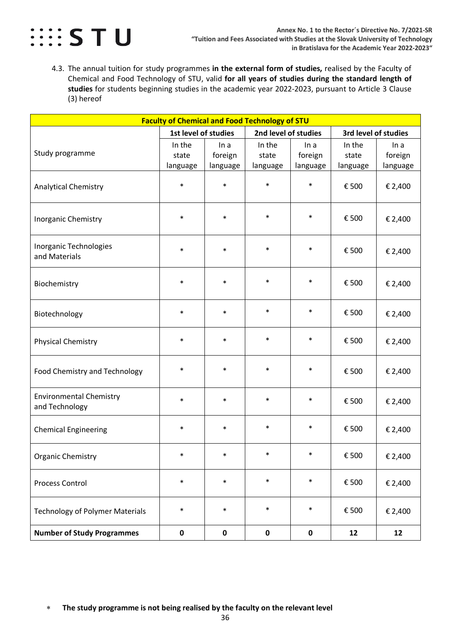

<span id="page-35-0"></span>4.3. The annual tuition for study programmes **in the external form of studies,** realised by the Faculty of Chemical and Food Technology of STU, valid **for all years of studies during the standard length of studies** for students beginning studies in the academic year 2022-2023, pursuant to Article 3 Clause (3) hereof

| <b>Faculty of Chemical and Food Technology of STU</b> |                             |                             |                             |                             |                             |                             |  |  |
|-------------------------------------------------------|-----------------------------|-----------------------------|-----------------------------|-----------------------------|-----------------------------|-----------------------------|--|--|
|                                                       | 1st level of studies        |                             | 2nd level of studies        |                             | 3rd level of studies        |                             |  |  |
| Study programme                                       | In the<br>state<br>language | In a<br>foreign<br>language | In the<br>state<br>language | In a<br>foreign<br>language | In the<br>state<br>language | In a<br>foreign<br>language |  |  |
| <b>Analytical Chemistry</b>                           | $\ast$                      | $\ast$                      | $\ast$                      | $\ast$                      | € 500                       | € 2,400                     |  |  |
| <b>Inorganic Chemistry</b>                            | $\ast$                      | $\ast$                      | $\ast$                      | $\ast$                      | € 500                       | € 2,400                     |  |  |
| Inorganic Technologies<br>and Materials               | $\ast$                      | $\ast$                      | $\ast$                      | $\ast$                      | € 500                       | € 2,400                     |  |  |
| Biochemistry                                          | $\ast$                      | $\ast$                      | $\ast$                      | $\ast$                      | € 500                       | € 2,400                     |  |  |
| Biotechnology                                         | $\ast$                      | $\ast$                      | $\ast$                      | $\ast$                      | € 500                       | € 2,400                     |  |  |
| <b>Physical Chemistry</b>                             | $\ast$                      | $\ast$                      | $\ast$                      | $\ast$                      | € 500                       | € 2,400                     |  |  |
| Food Chemistry and Technology                         | $\ast$                      | $\ast$                      | $\ast$                      | $\ast$                      | € 500                       | € 2,400                     |  |  |
| <b>Environmental Chemistry</b><br>and Technology      | $\ast$                      | $\ast$                      | $\ast$                      | $\ast$                      | € 500                       | € 2,400                     |  |  |
| <b>Chemical Engineering</b>                           | $\ast$                      | $\ast$                      | $\ast$                      | $\ast$                      | € 500                       | € 2,400                     |  |  |
| Organic Chemistry                                     |                             |                             | $\ast$                      |                             | € 500                       | € 2,400                     |  |  |
| Process Control                                       | $\ast$                      | $\ast$                      | $\ast$                      | $\ast$                      | € 500                       | € 2,400                     |  |  |
| <b>Technology of Polymer Materials</b>                | $\ast$                      | $\ast$                      | $\ast$                      | $\ast$                      | € 500                       | € 2,400                     |  |  |
| <b>Number of Study Programmes</b>                     | $\pmb{0}$                   | $\pmb{0}$                   | $\pmb{0}$                   | $\pmb{0}$                   | 12                          | 12                          |  |  |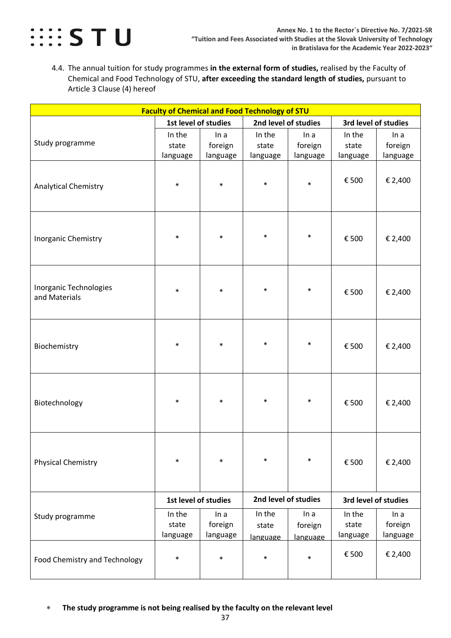

<span id="page-36-0"></span>4.4. The annual tuition for study programmes **in the external form of studies,** realised by the Faculty of Chemical and Food Technology of STU, **after exceeding the standard length of studies,** pursuant to Article 3 Clause (4) hereof

| <b>Faculty of Chemical and Food Technology of STU</b> |                             |                             |                             |                             |                             |                             |  |  |
|-------------------------------------------------------|-----------------------------|-----------------------------|-----------------------------|-----------------------------|-----------------------------|-----------------------------|--|--|
|                                                       | 1st level of studies        |                             | 2nd level of studies        |                             | 3rd level of studies        |                             |  |  |
| Study programme                                       | In the<br>state<br>language | In a<br>foreign<br>language | In the<br>state<br>language | In a<br>foreign<br>language | In the<br>state<br>language | In a<br>foreign<br>language |  |  |
| <b>Analytical Chemistry</b>                           | $\ast$                      | $\ast$                      | $\ast$                      | $\ast$                      | € 500                       | € 2,400                     |  |  |
| Inorganic Chemistry                                   | $\ast$                      | $\ast$                      | $\ast$                      | $\ast$                      | € 500                       | € 2,400                     |  |  |
| Inorganic Technologies<br>and Materials               | $\ast$                      | $\ast$                      | $\ast$                      | $\ast$                      | € 500                       | € 2,400                     |  |  |
| Biochemistry                                          | $\ast$                      | $\ast$                      | $\ast$                      | $\ast$                      | € 500                       | € 2,400                     |  |  |
| Biotechnology                                         | $\ast$                      | $\ast$                      | $\ast$                      | $\ast$                      | € 500                       | € 2,400                     |  |  |
| <b>Physical Chemistry</b>                             | $\ast$                      | $\ast$                      | $\ast$                      | $\ast$                      | € 500                       | € 2,400                     |  |  |
|                                                       | 1st level of studies        |                             | 2nd level of studies        |                             | 3rd level of studies        |                             |  |  |
| Study programme                                       | In the<br>state<br>language | In a<br>foreign<br>language | In the<br>state<br>language | In a<br>foreign<br>language | In the<br>state<br>language | In a<br>foreign<br>language |  |  |
| <b>Food Chemistry and Technology</b>                  | $\ast$                      | $\ast$                      | $\ast$                      | $\ast$                      | € 500                       | € 2,400                     |  |  |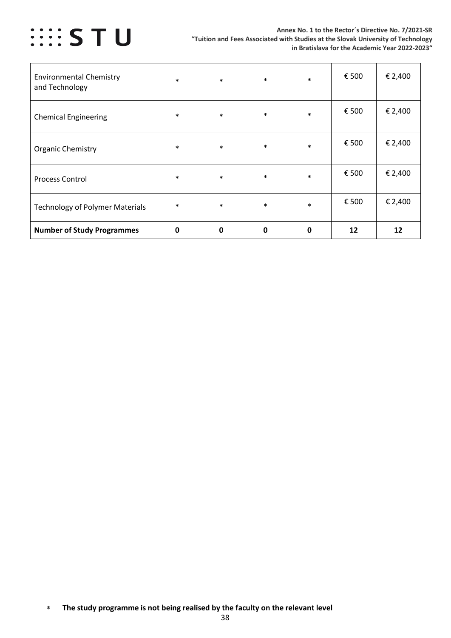

| <b>Environmental Chemistry</b><br>and Technology | $\ast$ | $\ast$ | $\ast$      | $\ast$ | € 500 | € 2,400 |
|--------------------------------------------------|--------|--------|-------------|--------|-------|---------|
| <b>Chemical Engineering</b>                      | $\ast$ | $\ast$ | $\ast$      | $\ast$ | € 500 | € 2,400 |
| <b>Organic Chemistry</b>                         | $\ast$ | $\ast$ | $\ast$      | $\ast$ | € 500 | € 2,400 |
| <b>Process Control</b>                           | $\ast$ | $\ast$ | $\ast$      | $\ast$ | € 500 | € 2,400 |
| <b>Technology of Polymer Materials</b>           | $\ast$ | $\ast$ | $\ast$      | $\ast$ | € 500 | € 2,400 |
| <b>Number of Study Programmes</b>                | 0      | 0      | $\mathbf 0$ | 0      | 12    | 12      |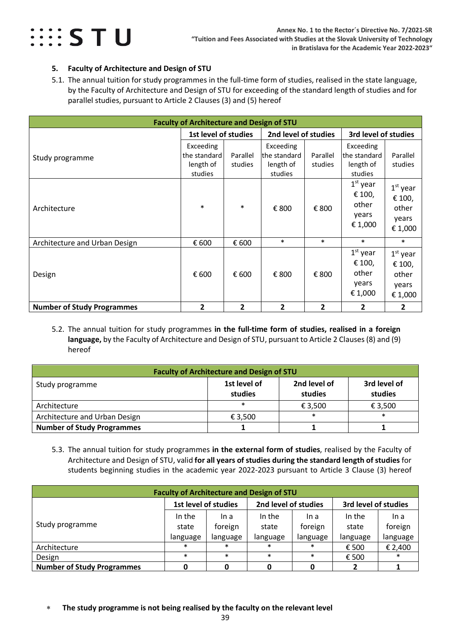

#### <span id="page-38-0"></span>**5. Faculty of Architecture and Design of STU**

<span id="page-38-1"></span>5.1. The annual tuition for study programmes in the full-time form of studies, realised in the state language, by the Faculty of Architecture and Design of STU for exceeding of the standard length of studies and for parallel studies, pursuant to Article 2 Clauses (3) and (5) hereof

| <b>Faculty of Architecture and Design of STU</b> |                                                   |                     |                                                   |                     |                                                    |                                                   |  |  |
|--------------------------------------------------|---------------------------------------------------|---------------------|---------------------------------------------------|---------------------|----------------------------------------------------|---------------------------------------------------|--|--|
|                                                  | 1st level of studies<br>2nd level of studies      |                     |                                                   |                     | 3rd level of studies                               |                                                   |  |  |
| Study programme                                  | Exceeding<br>the standard<br>length of<br>studies | Parallel<br>studies | Exceeding<br>the standard<br>length of<br>studies | Parallel<br>studies | Exceeding<br>lthe standard<br>length of<br>studies | Parallel<br>studies                               |  |  |
| Architecture                                     | $\ast$                                            | $\ast$              | € 800                                             | € 800               | $1st$ year<br>€ 100,<br>other<br>years<br>€ 1,000  | $1st$ year<br>€ 100,<br>other<br>years<br>€ 1,000 |  |  |
| Architecture and Urban Design                    | € 600                                             | € 600               | $\ast$                                            | $\ast$              | $\ast$                                             | $\ast$                                            |  |  |
| Design                                           | € 600                                             | € 600               | € 800                                             | € 800               | $1st$ year<br>€ 100,<br>other<br>years<br>€ 1,000  | $1st$ year<br>€ 100,<br>other<br>years<br>€ 1,000 |  |  |
| <b>Number of Study Programmes</b>                | $\overline{2}$                                    | $\mathbf{2}$        | $\overline{2}$                                    | $\overline{2}$      | $\overline{2}$                                     | 2                                                 |  |  |

<span id="page-38-2"></span>5.2. The annual tuition for study programmes **in the full-time form of studies, realised in a foreign language,** by the Faculty of Architecture and Design of STU, pursuant to Article 2 Clauses (8) and (9) hereof

| <b>Faculty of Architecture and Design of STU</b> |                         |                         |                         |  |  |  |  |
|--------------------------------------------------|-------------------------|-------------------------|-------------------------|--|--|--|--|
| Study programme                                  | 1st level of<br>studies | 2nd level of<br>studies | 3rd level of<br>studies |  |  |  |  |
| Architecture                                     | $\ast$                  | € 3,500                 | € 3,500                 |  |  |  |  |
| Architecture and Urban Design                    | € 3.500                 | $\ast$                  | $\ast$                  |  |  |  |  |
| <b>Number of Study Programmes</b>                |                         |                         |                         |  |  |  |  |

<span id="page-38-3"></span>5.3. The annual tuition for study programmes **in the external form of studies**, realised by the Faculty of Architecture and Design of STU, valid **for all years of studies during the standard length of studies** for students beginning studies in the academic year 2022-2023 pursuant to Article 3 Clause (3) hereof

| <b>Faculty of Architecture and Design of STU</b>                     |          |          |          |          |          |          |  |  |
|----------------------------------------------------------------------|----------|----------|----------|----------|----------|----------|--|--|
| 2nd level of studies<br>1st level of studies<br>3rd level of studies |          |          |          |          |          |          |  |  |
|                                                                      | In the   | In a     | In the   | In a     | In the   | In a     |  |  |
| Study programme                                                      | state    | foreign  | state    | foreign  | state    | foreign  |  |  |
|                                                                      | language | language | language | language | language | language |  |  |
| Architecture                                                         | $\ast$   | $\ast$   | $\ast$   | $\ast$   | € 500    | € 2,400  |  |  |
| Design                                                               | $\ast$   | $\ast$   | $\ast$   | $\ast$   | € 500    | $\ast$   |  |  |
| <b>Number of Study Programmes</b>                                    |          |          |          | ŋ        |          |          |  |  |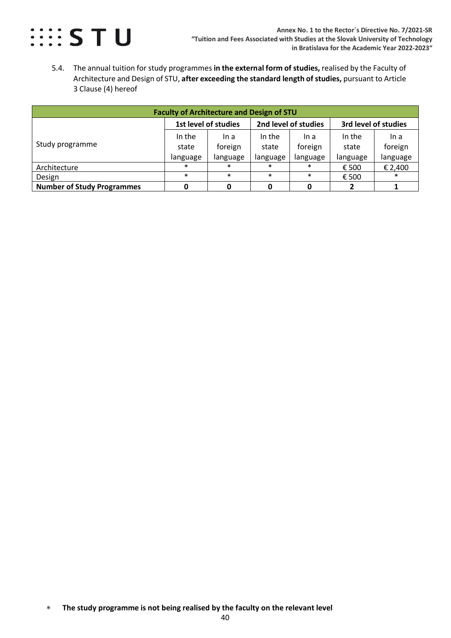

<span id="page-39-0"></span>5.4. The annual tuition for study programmes **in the external form of studies,** realised by the Faculty of Architecture and Design of STU, **after exceeding the standard length of studies,** pursuant to Article 3 Clause (4) hereof

| <b>Faculty of Architecture and Design of STU</b> |                                                                      |          |          |          |          |          |  |  |
|--------------------------------------------------|----------------------------------------------------------------------|----------|----------|----------|----------|----------|--|--|
|                                                  | 2nd level of studies<br>1st level of studies<br>3rd level of studies |          |          |          |          |          |  |  |
|                                                  | In the                                                               | In a     | In the   | In a     | In the   | In a     |  |  |
| Study programme                                  | state                                                                | foreign  | state    | foreign  | state    | foreign  |  |  |
|                                                  | language                                                             | language | language | language | language | language |  |  |
| Architecture                                     | $\ast$                                                               | $\ast$   | $\ast$   | $\ast$   | € 500    | € 2,400  |  |  |
| Design                                           | $\ast$                                                               | $\ast$   | $\ast$   | $\ast$   | € 500    | $\ast$   |  |  |
| <b>Number of Study Programmes</b>                |                                                                      |          |          |          |          |          |  |  |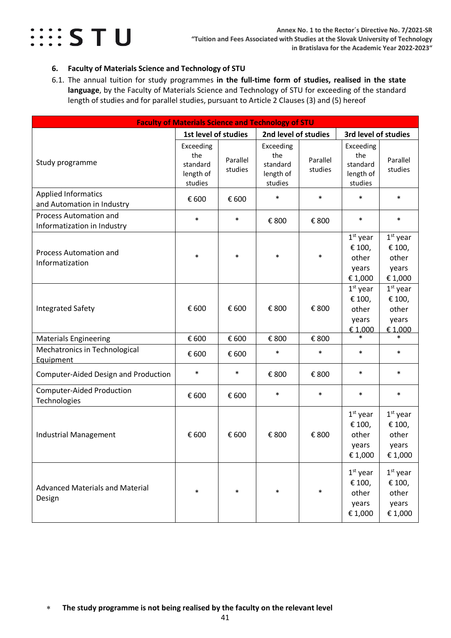

#### <span id="page-40-0"></span>**6. Faculty of Materials Science and Technology of STU**

<span id="page-40-1"></span>6.1. The annual tuition for study programmes **in the full-time form of studies, realised in the state language**, by the Faculty of Materials Science and Technology of STU for exceeding of the standard length of studies and for parallel studies, pursuant to Article 2 Clauses (3) and (5) hereof

|                                                              | <b>Faculty of Materials Science and Technology of STU</b> |                     |                                                      |                     |                                                      |                                                                                 |  |  |
|--------------------------------------------------------------|-----------------------------------------------------------|---------------------|------------------------------------------------------|---------------------|------------------------------------------------------|---------------------------------------------------------------------------------|--|--|
|                                                              | 1st level of studies                                      |                     | 2nd level of studies                                 |                     | 3rd level of studies                                 |                                                                                 |  |  |
| Study programme                                              | Exceeding<br>the<br>standard<br>length of<br>studies      | Parallel<br>studies | Exceeding<br>the<br>standard<br>length of<br>studies | Parallel<br>studies | Exceeding<br>the<br>standard<br>length of<br>studies | Parallel<br>studies                                                             |  |  |
| <b>Applied Informatics</b><br>and Automation in Industry     | € 600                                                     | € 600               | $\ast$                                               | $\ast$              | $\ast$                                               | $\ast$                                                                          |  |  |
| <b>Process Automation and</b><br>Informatization in Industry | $\ast$                                                    | $\ast$              | € 800                                                | € 800               | $\ast$                                               | $\ast$                                                                          |  |  |
| Process Automation and<br>Informatization                    | $\ast$                                                    | $\ast$              | $\ast$                                               | $\ast$              | $1st$ year<br>€ 100,<br>other<br>years<br>€ 1,000    | $1st$ year<br>€ 100,<br>other<br>years<br>€ 1,000                               |  |  |
| <b>Integrated Safety</b>                                     | € 600                                                     | € 600               | € 800                                                | € 800               | $1st$ year<br>€ 100,<br>other<br>years<br>€ 1,000    | $1st$ year<br>€ 100,<br>other<br>years<br>€ 1,000                               |  |  |
| <b>Materials Engineering</b>                                 | € 600                                                     | € 600               | € 800                                                | € 800               | $\ast$                                               | *                                                                               |  |  |
| Mechatronics in Technological<br>Equipment                   | € 600                                                     | € 600               | $\ast$                                               | $\ast$              | $\ast$                                               | $\ast$                                                                          |  |  |
| Computer-Aided Design and Production                         | $\ast$                                                    | $\ast$              | € 800                                                | € 800               | $\ast$                                               | $\ast$                                                                          |  |  |
| <b>Computer-Aided Production</b><br>Technologies             | € 600                                                     | € 600               | $\ast$                                               | $\ast$              | $\ast$                                               | $\ast$                                                                          |  |  |
| <b>Industrial Management</b>                                 | € 600                                                     | € 600               | € 800                                                | € 800               | $1st$ year<br>€ 100,<br>other<br>years<br>€ 1,000    | $1st$ year<br>€ 100,<br>other<br>years<br>$\mathop{\varepsilon}\nolimits$ 1,000 |  |  |
| <b>Advanced Materials and Material</b><br>Design             | $\ast$                                                    | $\ast$              | $\ast$                                               | $\ast$              | $1st$ year<br>€ 100,<br>other<br>years<br>€ 1,000    | $1st$ year<br>€ 100,<br>other<br>years<br>€ 1,000                               |  |  |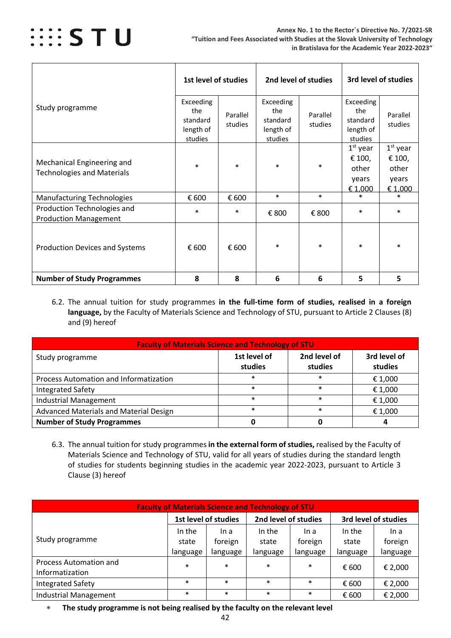

|                                                                 | 1st level of studies                                 |                     |                                                      | 2nd level of studies |                                                      | 3rd level of studies                              |
|-----------------------------------------------------------------|------------------------------------------------------|---------------------|------------------------------------------------------|----------------------|------------------------------------------------------|---------------------------------------------------|
| Study programme                                                 | Exceeding<br>the<br>standard<br>length of<br>studies | Parallel<br>studies | Exceeding<br>the<br>standard<br>length of<br>studies | Parallel<br>studies  | Exceeding<br>the<br>standard<br>length of<br>studies | Parallel<br>studies                               |
| Mechanical Engineering and<br><b>Technologies and Materials</b> | $\ast$                                               | $\ast$              | $\ast$                                               | $\ast$               | $1st$ year<br>€ 100,<br>other<br>years<br>€ 1,000    | $1st$ year<br>€ 100,<br>other<br>years<br>€ 1,000 |
| <b>Manufacturing Technologies</b>                               | € 600                                                | € 600               | $\ast$                                               | $\ast$               | $\ast$                                               | $\ast$                                            |
| Production Technologies and<br><b>Production Management</b>     | $\ast$                                               | $\ast$              | € 800                                                | € 800                | $\ast$                                               | $\ast$                                            |
| <b>Production Devices and Systems</b>                           | € 600                                                | € 600               | $\ast$                                               | $\ast$               | $\ast$                                               | $\ast$                                            |
| <b>Number of Study Programmes</b>                               | 8                                                    | 8                   | 6                                                    | 6                    | 5                                                    | 5                                                 |

<span id="page-41-0"></span>6.2. The annual tuition for study programmes **in the full-time form of studies, realised in a foreign language,** by the Faculty of Materials Science and Technology of STU, pursuant to Article 2 Clauses (8) and (9) hereof

| <b>Faculty of Materials Science and Technology of STU</b> |                         |                         |                         |  |  |  |  |  |  |
|-----------------------------------------------------------|-------------------------|-------------------------|-------------------------|--|--|--|--|--|--|
| Study programme                                           | 1st level of<br>studies | 2nd level of<br>studies | 3rd level of<br>studies |  |  |  |  |  |  |
| Process Automation and Informatization                    | $\ast$                  | $\ast$                  | € 1,000                 |  |  |  |  |  |  |
| <b>Integrated Safety</b>                                  | $\ast$                  | $\ast$                  | € 1,000                 |  |  |  |  |  |  |
| <b>Industrial Management</b>                              | $\ast$                  | $\ast$                  | € 1,000                 |  |  |  |  |  |  |
| Advanced Materials and Material Design                    | $\ast$                  | $\ast$                  | € 1,000                 |  |  |  |  |  |  |
| <b>Number of Study Programmes</b>                         |                         |                         |                         |  |  |  |  |  |  |

<span id="page-41-1"></span>6.3. The annual tuition for study programmes **in the external form of studies,** realised by the Faculty of Materials Science and Technology of STU, valid for all years of studies during the standard length of studies for students beginning studies in the academic year 2022-2023, pursuant to Article 3 Clause (3) hereof

| <b>Faculty of Materials Science and Technology of STU</b> |          |                      |                      |          |          |                      |  |  |
|-----------------------------------------------------------|----------|----------------------|----------------------|----------|----------|----------------------|--|--|
|                                                           |          | 1st level of studies | 2nd level of studies |          |          | 3rd level of studies |  |  |
|                                                           | In the   | In a                 | In the               | In a     | In the   | In a                 |  |  |
| Study programme                                           | state    | foreign              | state                | foreign  | state    | foreign              |  |  |
|                                                           | language | language             | language             | language | language | language             |  |  |
| Process Automation and                                    | $\ast$   | $\ast$               | $\ast$               | $\ast$   | € 600    | € 2,000              |  |  |
| Informatization                                           |          |                      |                      |          |          |                      |  |  |
| <b>Integrated Safety</b>                                  | $\ast$   | $\ast$               | $\ast$               | $\ast$   | € 600    | € 2,000              |  |  |
| <b>Industrial Management</b>                              | $\ast$   | $\ast$               | $\ast$               | $\ast$   | € 600    | € 2,000              |  |  |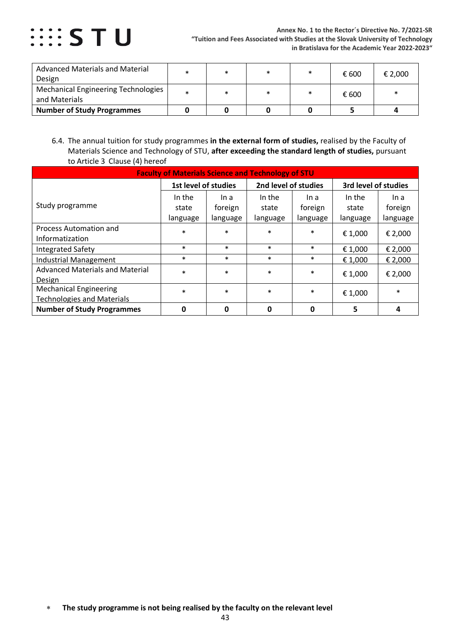

| <b>Advanced Materials and Material</b><br>Design            | *      | $\ast$ | $\ast$ | $\ast$ | € 600 | € 2,000 |
|-------------------------------------------------------------|--------|--------|--------|--------|-------|---------|
| <b>Mechanical Engineering Technologies</b><br>and Materials | $\ast$ | $\ast$ | $\ast$ | $\ast$ | € 600 |         |
| <b>Number of Study Programmes</b>                           |        |        |        |        |       |         |

<span id="page-42-0"></span>6.4. The annual tuition for study programmes **in the external form of studies,** realised by the Faculty of Materials Science and Technology of STU, **after exceeding the standard length of studies,** pursuant to Article 3 Clause (4) hereof

| <b>Faculty of Materials Science and Technology of STU</b> |                      |          |                      |          |                      |          |  |  |
|-----------------------------------------------------------|----------------------|----------|----------------------|----------|----------------------|----------|--|--|
|                                                           | 1st level of studies |          | 2nd level of studies |          | 3rd level of studies |          |  |  |
|                                                           | In the               | In a     | In the               | In a     | In the               | In a     |  |  |
| Study programme                                           | state                | foreign  | state                | foreign  | state                | foreign  |  |  |
|                                                           | language             | language | language             | language | language             | language |  |  |
| Process Automation and                                    | $\ast$               | $\ast$   | $\ast$               | $\ast$   | € 1,000              | € 2,000  |  |  |
| Informatization                                           |                      |          |                      |          |                      |          |  |  |
| <b>Integrated Safety</b>                                  | $\ast$               | $\ast$   | $\ast$               | $\ast$   | € 1,000              | € 2,000  |  |  |
| <b>Industrial Management</b>                              | $\ast$               | $\ast$   | $\ast$               | $\ast$   | € 1,000              | € 2,000  |  |  |
| <b>Advanced Materials and Material</b>                    | $\ast$               | $\ast$   | $\ast$               | $\ast$   | € 1,000              | € 2,000  |  |  |
| Design                                                    |                      |          |                      |          |                      |          |  |  |
| <b>Mechanical Engineering</b>                             | $\ast$               | $\ast$   | $\ast$               | $\ast$   | € 1,000              | $\ast$   |  |  |
| <b>Technologies and Materials</b>                         |                      |          |                      |          |                      |          |  |  |
| <b>Number of Study Programmes</b>                         | 0                    | 0        | $\mathbf{0}$         | 0        | 5                    | 4        |  |  |

<sup>∗</sup> **The study programme is not being realised by the faculty on the relevant level**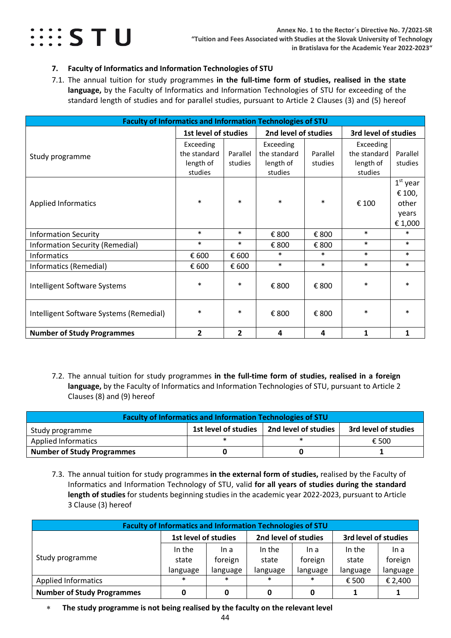

#### <span id="page-43-0"></span>**7. Faculty of Informatics and Information Technologies of STU**

<span id="page-43-1"></span>7.1. The annual tuition for study programmes **in the full-time form of studies, realised in the state language,** by the Faculty of Informatics and Information Technologies of STU for exceeding of the standard length of studies and for parallel studies, pursuant to Article 2 Clauses (3) and (5) hereof

| <b>Faculty of Informatics and Information Technologies of STU</b> |                      |          |                      |          |                      |            |
|-------------------------------------------------------------------|----------------------|----------|----------------------|----------|----------------------|------------|
|                                                                   | 1st level of studies |          | 2nd level of studies |          | 3rd level of studies |            |
|                                                                   | Exceeding            |          | Exceeding            |          | Exceeding            |            |
| Study programme                                                   | the standard         | Parallel | the standard         | Parallel | the standard         | Parallel   |
|                                                                   | length of            | studies  | length of            | studies  | length of            | studies    |
|                                                                   | studies              |          | studies              |          | studies              |            |
|                                                                   |                      |          |                      |          |                      | $1st$ year |
|                                                                   |                      |          |                      |          |                      | € 100,     |
| <b>Applied Informatics</b>                                        | $\ast$               | $\ast$   | $\ast$               | $\ast$   | € 100                | other      |
|                                                                   |                      |          |                      |          |                      | years      |
|                                                                   |                      |          |                      |          |                      | € 1,000    |
| <b>Information Security</b>                                       | $\ast$               | $\ast$   | € 800                | € 800    | $\ast$               | $\ast$     |
| Information Security (Remedial)                                   | $\ast$               | $\ast$   | € 800                | € 800    | $\ast$               | $\ast$     |
| Informatics                                                       | € 600                | € 600    | $\ast$               | $\ast$   | $\ast$               | $\ast$     |
| Informatics (Remedial)                                            | € 600                | € 600    | $\ast$               | $\ast$   | $\ast$               | $\ast$     |
|                                                                   |                      |          |                      |          |                      |            |
| Intelligent Software Systems                                      | $\ast$               | $\ast$   | € 800                | € 800    | $\ast$               | $\ast$     |
|                                                                   |                      |          |                      |          |                      |            |
| Intelligent Software Systems (Remedial)                           | $\ast$               | $\ast$   | € 800                | € 800    | $\ast$               | $\ast$     |
|                                                                   |                      |          |                      |          |                      |            |
| <b>Number of Study Programmes</b>                                 | $\overline{2}$       | 2        | 4                    | 4        | $\mathbf{1}$         | 1          |

<span id="page-43-2"></span>7.2. The annual tuition for study programmes **in the full-time form of studies, realised in a foreign language,** by the Faculty of Informatics and Information Technologies of STU, pursuant to Article 2 Clauses (8) and (9) hereof

| <b>Faculty of Informatics and Information Technologies of STU</b>                       |  |  |  |  |  |  |  |  |  |
|-----------------------------------------------------------------------------------------|--|--|--|--|--|--|--|--|--|
| 1st level of studies<br>2nd level of studies<br>3rd level of studies<br>Study programme |  |  |  |  |  |  |  |  |  |
| <b>Applied Informatics</b><br>€ 500                                                     |  |  |  |  |  |  |  |  |  |
| <b>Number of Study Programmes</b>                                                       |  |  |  |  |  |  |  |  |  |

<span id="page-43-3"></span>7.3. The annual tuition for study programmes **in the external form of studies,** realised by the Faculty of Informatics and Information Technology of STU, valid **for all years of studies during the standard length of studies** for students beginning studies in the academic year 2022-2023, pursuant to Article 3 Clause (3) hereof

| <b>Faculty of Informatics and Information Technologies of STU</b>    |          |          |          |          |          |          |  |
|----------------------------------------------------------------------|----------|----------|----------|----------|----------|----------|--|
| 2nd level of studies<br>3rd level of studies<br>1st level of studies |          |          |          |          |          |          |  |
|                                                                      | In the   | In a     | In the   | In a     | In the   | In a     |  |
| Study programme                                                      | state    | foreign  | state    | foreign  | state    | foreign  |  |
|                                                                      | language | language | language | language | language | language |  |
| <b>Applied Informatics</b>                                           | $\ast$   | $\ast$   | $\ast$   | $\ast$   | € 500    | € 2,400  |  |
| <b>Number of Study Programmes</b>                                    |          | 0        | 0        | 0        |          |          |  |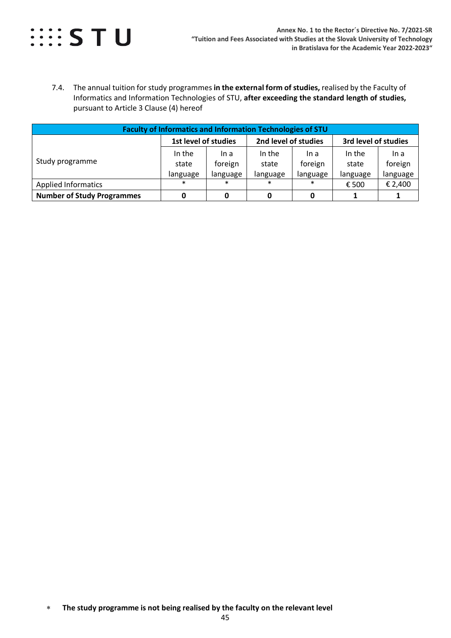

<span id="page-44-0"></span>7.4. The annual tuition for study programmes **in the external form of studies,** realised by the Faculty of Informatics and Information Technologies of STU, **after exceeding the standard length of studies,**  pursuant to Article 3 Clause (4) hereof

| <b>Faculty of Informatics and Information Technologies of STU</b>    |                 |                 |                 |                 |                 |                 |  |
|----------------------------------------------------------------------|-----------------|-----------------|-----------------|-----------------|-----------------|-----------------|--|
| 2nd level of studies<br>3rd level of studies<br>1st level of studies |                 |                 |                 |                 |                 |                 |  |
| Study programme                                                      | In the<br>state | In a<br>foreign | In the<br>state | In a<br>foreign | In the<br>state | In a<br>foreign |  |
|                                                                      | language        | language        | language        | language        | language        | language        |  |
| <b>Applied Informatics</b>                                           | $\ast$          | $\ast$          | $\ast$          | $\ast$          | € 500           | € 2,400         |  |
| <b>Number of Study Programmes</b>                                    |                 |                 |                 |                 |                 |                 |  |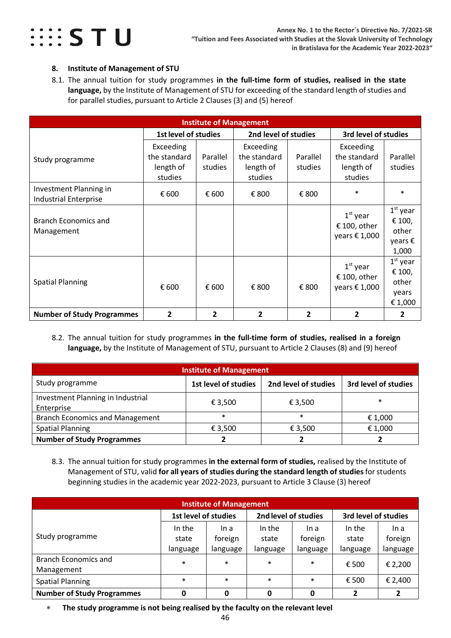

#### <span id="page-45-0"></span>**8. Institute of Management of STU**

<span id="page-45-1"></span>8.1. The annual tuition for study programmes **in the full-time form of studies, realised in the state language,** by the Institute of Management of STU for exceeding of the standard length of studies and for parallel studies, pursuant to Article 2 Clauses (3) and (5) hereof

| <b>Institute of Management</b>                         |                                                   |                     |                                                   |                     |                                                      |                                                   |  |  |
|--------------------------------------------------------|---------------------------------------------------|---------------------|---------------------------------------------------|---------------------|------------------------------------------------------|---------------------------------------------------|--|--|
|                                                        | <b>1st level of studies</b>                       |                     | 2nd level of studies                              |                     | 3rd level of studies                                 |                                                   |  |  |
| Study programme                                        | Exceeding<br>the standard<br>length of<br>studies | Parallel<br>studies | Exceeding<br>the standard<br>length of<br>studies | Parallel<br>studies | Exceeding<br>the standard<br>length of<br>studies    | Parallel<br>studies                               |  |  |
| Investment Planning in<br><b>Industrial Enterprise</b> | € 600                                             | € 600               | € 800                                             | € 800               | $\ast$                                               | $\ast$                                            |  |  |
| <b>Branch Economics and</b><br>Management              |                                                   |                     |                                                   |                     | $1st$ year<br>€ 100, other<br>years $\epsilon$ 1,000 | $1st$ year<br>€ 100,<br>other<br>years €<br>1,000 |  |  |
| <b>Spatial Planning</b>                                | € 600                                             | € 600               | € 800                                             | € 800               | $1st$ year<br>€ 100, other<br>years € 1,000          | $1st$ year<br>€ 100,<br>other<br>years<br>€1,000  |  |  |
| <b>Number of Study Programmes</b>                      | $\overline{2}$                                    | $\overline{2}$      | $\overline{2}$                                    | $\mathbf{2}$        | $\overline{2}$                                       | 2                                                 |  |  |

<span id="page-45-2"></span>8.2. The annual tuition for study programmes **in the full-time form of studies, realised in a foreign language,** by the Institute of Management of STU, pursuant to Article 2 Clauses (8) and (9) hereof

| <b>Institute of Management</b>                  |                      |                      |                      |  |  |  |  |
|-------------------------------------------------|----------------------|----------------------|----------------------|--|--|--|--|
| Study programme                                 | 1st level of studies | 2nd level of studies | 3rd level of studies |  |  |  |  |
| Investment Planning in Industrial<br>Enterprise | € 3,500              | € 3,500              | $\ast$               |  |  |  |  |
| <b>Branch Economics and Management</b>          | $\ast$               | $\ast$               | € 1,000              |  |  |  |  |
| <b>Spatial Planning</b>                         | € 3,500              | € 3,500              | € 1,000              |  |  |  |  |
| <b>Number of Study Programmes</b>               |                      |                      |                      |  |  |  |  |

<span id="page-45-3"></span>8.3. The annual tuition for study programmes **in the external form of studies,** realised by the Institute of Management of STU, valid **for all years of studies during the standard length of studies**for students beginning studies in the academic year 2022-2023, pursuant to Article 3 Clause (3) hereof

| <b>Institute of Management</b>    |                      |          |                      |          |                      |          |  |  |
|-----------------------------------|----------------------|----------|----------------------|----------|----------------------|----------|--|--|
|                                   | 1st level of studies |          | 2nd level of studies |          | 3rd level of studies |          |  |  |
| Study programme                   | In the               | In a     | In the               | In a     | In the               | In a     |  |  |
|                                   | state                | foreign  | state                | foreign  | state                | foreign  |  |  |
|                                   | language             | language | language             | language | language             | language |  |  |
| <b>Branch Economics and</b>       | $\ast$               | $\ast$   | $\ast$               | $\ast$   | € 500                | € 2,200  |  |  |
| Management                        |                      |          |                      |          |                      |          |  |  |
| <b>Spatial Planning</b>           | $\ast$               | $\ast$   | $\ast$               | $\ast$   | € 500                | € 2,400  |  |  |
| <b>Number of Study Programmes</b> |                      | 0        | 0                    | 0        |                      | 2        |  |  |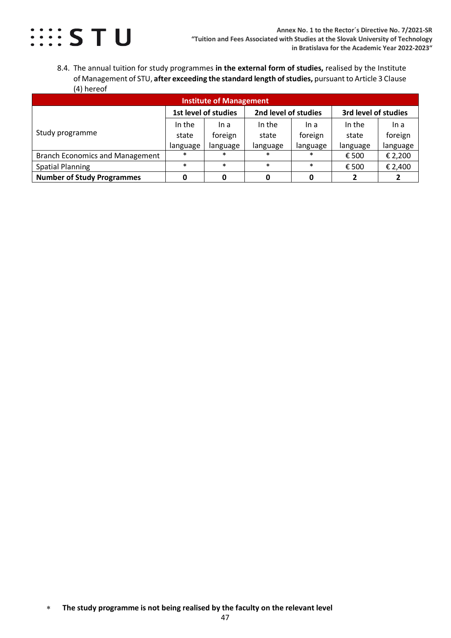

<span id="page-46-0"></span>8.4. The annual tuition for study programmes **in the external form of studies,** realised by the Institute of Management of STU, **after exceeding the standard length of studies,** pursuantto Article 3 Clause (4) hereof

| <b>Institute of Management</b>         |                      |          |                      |          |                      |          |  |  |
|----------------------------------------|----------------------|----------|----------------------|----------|----------------------|----------|--|--|
|                                        | 1st level of studies |          | 2nd level of studies |          | 3rd level of studies |          |  |  |
| Study programme                        | In the               | In a     | In the               | In a     | In the               | In a     |  |  |
|                                        | state                | foreign  | state                | foreign  | state                | foreign  |  |  |
|                                        | language             | language | language             | language | language             | language |  |  |
| <b>Branch Economics and Management</b> | $\ast$               | $\ast$   | $\ast$               | $\ast$   | € 500                | € 2,200  |  |  |
| <b>Spatial Planning</b>                | $\ast$               | $\ast$   | $\ast$               | $\ast$   | € 500                | € 2,400  |  |  |
| <b>Number of Study Programmes</b>      |                      |          |                      |          |                      |          |  |  |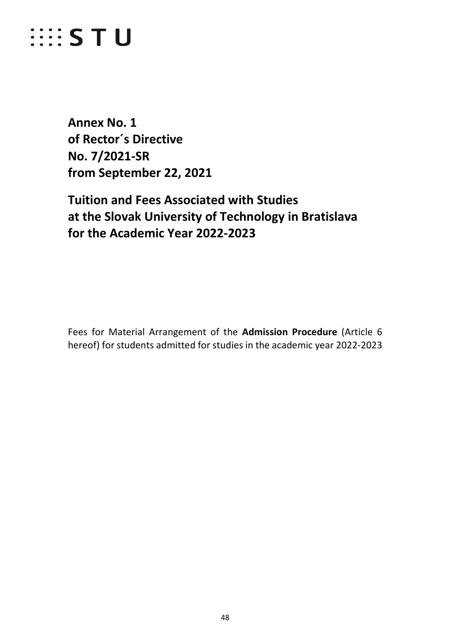### *WESTU*

<span id="page-47-0"></span>**Annex No. 1 of Rector´s Directive No. 7/2021-SR from September 22, 2021**

### **Tuition and Fees Associated with Studies at the Slovak University of Technology in Bratislava for the Academic Year 2022-2023**

Fees for Material Arrangement of the **Admission Procedure** (Article 6 hereof) for students admitted for studies in the academic year 2022-2023